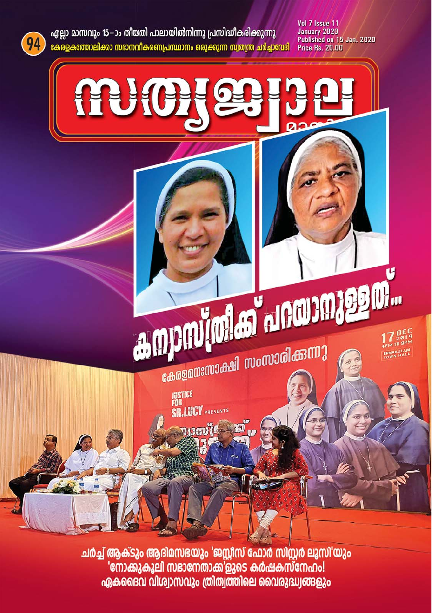

ചർച്ച് ആക്ടും ആദിമസഭയും 'ജസ്റ്റീസ് ഫോർ സിസ്റ്റർ ലൂസി'യും 'നോക്കുകൂലി സഭാനേതാക്ക'ളുടെ കർഷകസ്നേഹം! ഏകദൈവ വിശ്വാസവും ത്രിത്വത്തിലെ വൈരുദ്ധ്വങ്ങളും



എല്ലാ മാസവും 15−ാം തീയതി പാലായിൽനിന്നു പ്രസിദ്ധീകരിക്കുന്നു <u>കേരളകത്തോലിക്കാ സഭാനവികരണപ്രസ്ഥാനം ഒരുക്കുന്ന സ്വതന്ത്ര ചർച്ചാവേദി</u> Vol 7 Issue 11 January 2020 Published on 15 Jan. 2020 **Price Rs. 20.00**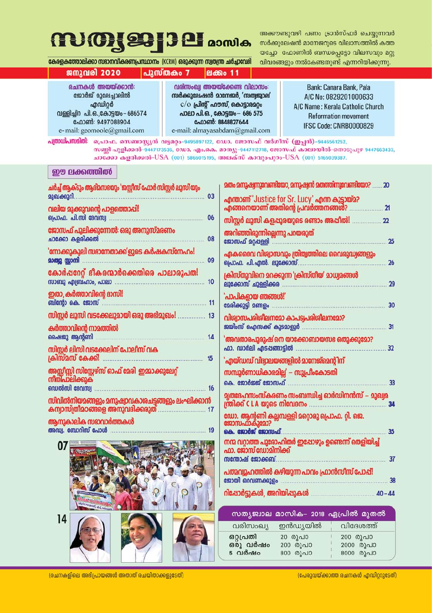### **MOJ991381** asmles

അക്കൗണ്ടുവഴി പണം ട്രാൻസ്ഫർ ചെയ്യന്നവർ സർക്കുലേഷൻ മാനേജറുടെ വിലാസത്തിൽ കത്ത യച്ചോ ഫോണിൽ ബന്ധപ്പെട്ടോ വിലസവും മറ്റു വിവരങ്ങളും നൽകേണ്ടതുണ്ട് എന്നറിയിക്കുന്നു.

കേരളകത്തോലിക്കാ സഭാനവികരണപ്രസ്ഥാനം (KCRM) ഒരുക്കുന്ന സ്വതന്ത്ര ചർച്ചാവേദി

പുസ്തകം 7

### **gamzained** 2020

രചനകൾ അയയ്ക്കാൻ: ജോർജ് മൂലേച്ചാലിൽ ഹ്മഡിറർ വള്ളിച്ചിറ പി. ഒ. കോടയം - 686574 ഫോൺ: 9497088904 e-mail: geomoole@gmail.com

വരിസംഖ്വ അയയ്ക്കേണ്ട വിലാസം: സർക്കുലേഷൻ മാനേജർ, 'സത്വജ്വാല'  $c$ ( $o$  പ്രിൻ് ഹൗസ്, കൊടാരമറം പാലാ പി.ഒ., കോടയം - 686 575 ഫോൺ: 8848827644 e-mail: almayasabdam@gmail.com

**PI** கி 0 11

Bank: Canara Bank, Pala A/C No: 0829201000633 A/C Name: Kerala Catholic Church **Reformation movement** IFSC Code: CNRB0000829

പത്രാധിപന്മമിതി: പൊഫ. സെബാസ്യൻ വട്ടമറ്റം-9495897122, ഡോ. ജോസഫ് വർഗീസ് (ഇപ്പൻ)-9446561252, സണി പുളിക്കൽ-9447173536, ഡോ. എം.കെ. മാത്യു-9447112718, ജോസഫ് കാലായിൽ-തൊടുപുഴ 9447663433, ചാക്കോ കളരിക്കൽ-USA (001) 5866015195, അലക്സ് കാവുംപുറം-USA (001) 5165039387.

### ഈ ലക്കത്തിൽ

| ചർച്ച് ആക്ടും ആദിമസഭയും 'ജസ്റ്റീസ് ഫോർ സിസ്റ്റർ ലൂസി് യും<br>മുഖക്കുറി | 03 |
|------------------------------------------------------------------------|----|
| വലിയ മുക്കുവന്റെ പാളത്തൊപ്പി!<br>പ്രൊഫ. പി.സി ദേവസ്വ                   | 06 |
| ജോസഫ് പുലിക്കുന്നേൽ: ഒരു അനുസ്മരണം<br>ചാക്കോ കളരിക്കൽ                  | 08 |
| 'നോക്കുകൂലി സഭാനേതാക്ക'ളുടെ കർഷകസ്നേഹം!<br>മാത്യൂ സ്റ്റാനി             | 09 |
| കോർഷറേറ്റ് ഭീകരന്മാർക്കെതിരെ പാലാരൂപത!<br>സാബു എബ്രഹാം, പാലാ           | 10 |
| ഇതാ, കർത്താവിന്റെ ദാസി!<br>ബിന്റോ കെ. ജോസ്                             | 11 |
| സിസ്റ്റർ ലൂസി വടക്കേലുമായി ഒരു അഭിമുഖം!                                | 13 |
| കർത്താവിന്റെ നാമത്തിൽ<br>ഷൈജു ആന്റണി                                   | 14 |
| സിസ്റ്റർ ലിസി വടക്കേലിന് പോലീസ് വക<br>ക്രിസ്മസ് കേക്കി<br>15           |    |
| അസ്സീസ്സി സിസ്റ്റേഴ്സ് ഓഫ് മേരി  ഇമ്മാക്കുലേറ്റ്<br>നിതിപാലിക്കുക      |    |
| ഡെൽസി ദേവസ്വ<br>സിവിൽനിയമങ്ങളും മനുഷ്വാവകാശചട്ടങ്ങളും ലംഘിക്കാൻ        | 16 |
| കന്വാസ്ത്രീമഠങ്ങളെ അനുവദിക്കരുത്<br>ആനുകാലിക സഭാവാർത്തകൾ               | 17 |
| അഡ്വ. ബോറിസ് പോൾ                                                       | 19 |



| മതം മനുഷ്വനുവേണ്ടിയോ, മനുഷ്വൻ മതത്തിനുവേണ്ടിയോ?<br>20                                                  |
|--------------------------------------------------------------------------------------------------------|
| എന്താണ് 'Justice for Sr. Lucy' എന്ന കൂട്ടായ്മ?<br>എങ്ങനെയാണ് അതിന്റെ പ്രവർത്തനങ്ങൾ?<br>$\overline{21}$ |
| സിസ്റ്റർ ലൂസി കളപ്പുരയുടെ രണ്ടാം അപ്പീൽ!<br>22                                                         |
| അറിഞ്ഞിരുന്നില്ലെന്നു പറയരുത്<br>ജോസഫ് മറ്റപ്പള്ളി<br>25                                               |
| ഏകദൈവ വിശ്വാസവും ത്രിത്വത്തിലെ വൈരുദ്ധ്വങ്ങളും<br>പ്രൊഫ. പി.എൽ. ലൂക്കോസ്.<br>26                        |
| ക്രിസ്തുവിനെ മറക്കുന്ന 'ക്രിസ്തീയ' മാധ്വമങ്ങൾ<br>ലുക്കോസ് ചുള്ളിക്കര<br>29                             |
| 'പാപികളായ ഞങ്ങൾ!'<br>മേരിക്കുട്ടി മണ്ടളം<br>30                                                         |
| വിശ്വാസപരിശീലനമോ കാപട്വപരിശീലനമോ?<br>ജയിംസ് ഐസക്ക് കുടമാളൂർ<br>31                                      |
| 'അവതാരപുരുഷ് നെ യാക്കോബായസഭ ഒതുക്കുമോ?<br>ഫാ. ഡാർലി എടപങ്ങാട്ടിൽ<br>32                                 |
| 'എയ്ഡഡ് വിദ്വാലയങ്ങളിൽ മാനേജ്മെന്റിന്                                                                  |
| സമ്പൂർണാധികാരമില്ല' – സുപ്രീംകോടതി                                                                     |
| കെ. ജോർജ്ജ് ജോസഫ്<br>33                                                                                |
| മൃതദേഹസംസ്കരണം സംബന്ധിച്ച ഓർഡിനൻസ് – മുഖ്വമ<br>ന്ത്രിക്ക് C L A യുടെ നിവേദനം<br>34                     |
| ഡോ. ആന്റണി കല്ലമ്പള്ളി മറ്റൊരു പ്രൊഫ. റ്റി. ജെ.<br>ജോസഫാകുമോ?<br>കെ. ജോർജ് ജോസഫ്<br>35                 |
| നന്മ വറ്റാത്ത പുരോഹിതർ ഇഷോഴും ഉണ്ടെന്ന് തെളിയിച്ച്<br>ഫാ. ജോസ് ഡോമിനിക്ക്                              |
| സന്തോഷ് ജോക്കബ്.<br>37                                                                                 |
| പത്മവൂഹത്തിൽ കഴിയുന്ന പാവം ഫ്രാൻസീസ് പോപ്പ്!<br>ജോയി ഒറവണക്കുളം<br>38                                  |
| റിപ്പോർട്ടുകൾ, അറിയിപ്പുകൾ<br>$40 - 44$                                                                |

|                                 |                                 | സത്യജ്വാല മാസിക– 2018 ഏപ്രിൽ മുതൽ  |
|---------------------------------|---------------------------------|------------------------------------|
|                                 | വരിസംഖ്യ ഇൻഡ്യയിൽ               | വിദേശത്ത്                          |
| ഒറ്റപ്രതി<br>ഒരു വർഷം<br>5 വർഷം | 20 രൂപാ<br>200 രൂപാ<br>800 രൂപാ | 200 രൂപാ<br>2000 രൂപാ<br>8000 രൂപാ |

(രചനകളിലെ അഭിപ്രായങ്ങൾ അതാത് രചയിതാക്കളുടേത്)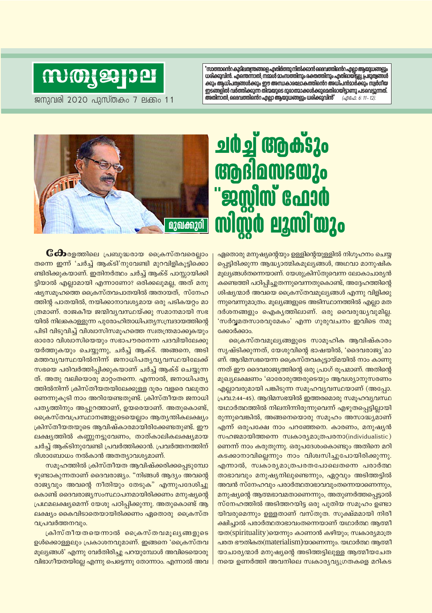"സാത്താന്റെ കുടിലതന്ത്രങ്ങളെ എതിർത്തു നിൽക്കാൻ ദൈവത്തിന്റെ എല്ലാ ആയുധങ്ങളും ധരിക്കുവിൻ. എന്തെന്നാൽ, നമ്മൾ മാംസത്തിനും രക്തത്തിനും എതിരായിട്ടല്ല, പ്രഭുത്വങ്ങൾ ക്കും ആധിപത്വങ്ങൾക്കും ഈ അന്ധകാരലോകത്തിന്റെറ അധിപൻമാർക്കും സ്വർഗീയ ഇടങ്ങളിൽ വർത്തിക്കുന്ന തിന്മയുടെ ദുരാത്മാക്കൾക്കുമെതിരായിട്ടാണു പടവെട്ടുന്നത്. അതിനാൽ, ദൈവത്തിന്റെറ എല്ലാ ആയുധങ്ങളും ധരിക്കുവിൻ" (എഫേ. 6: 11 - 12)

### **MOJ991381**

ജനുവരി 2020 പുസ്തകം 7 ലക്കം 11



# **EXAMIN GOLOG mimo ermi'ozo**

**ேಯ** രളത്തിലെ പ്രബുദ്ധരായ ക്രൈസ്തവരെല്ലാം തന്നെ ഇന്ന് 'ചർച് ആക്ടി'നുവേണ്ടി മുറവിളികൂട്ടിക്കൊ ണ്ടിരിക്കുകയാണ്. ഇതിനർത്ഥം ചർച്ച് ആക്ട് പാസ്സായിക്കി ട്ടിയാൽ എല്ലാമായി എന്നാണോ? ഒരിക്കലുമല്ല, അത് മനു ഷ്യസമൂഹത്തെ ക്രൈസ്തവപാതയിൽ അതായത്, സ്നേഹ ത്തിൻ പാതയിൽ, നയിക്കാനാവശ്യമായ ഒരു പടികയറം മാ ത്രമാണ്. രാജകീയ ജന്മിവൃവസ്ഥയ്ക്കു സമാനമായി സഭ യിൽ നിലകൊള്ളുന്ന പുരോഹിതാധിപത്യസമ്പ്രദായത്തിന്റെ പിടി വിടുവിച്ച് വിശ്വാസിസമൂഹത്തെ സ്വതന്ത്രമാക്കുകയും ഓരോ വിശ്വാസിയെയും സഭാപൗരനെന്ന പദവിയിലേക്കു യർത്തുകയും ചെയ്യുന്നു, ചർച്ച് ആക്ട്. അങ്ങനെ, അടി <u>മത്തവൃവസ്ഥയിൽനിന്ന് ജനാധിപതൃവൃവസ്ഥയിലേക്ക്</u> സഭയെ പരിവർത്തിപ്പിക്കുകയാണ് ചർച്ച് ആക്ട് ചെയ്യുന്ന ത്. അതു വലിയൊരു മാറ്റംതന്നെ. എന്നാൽ, ജനാധിപത്യ ത്തിൽനിന്ന് ക്രിസ്തീയതയിലേക്കുള്ള ദൂരം വളരെ വലുതാ ണെന്നുകൂടി നാം അറിയേണ്ടതുണ്ട്. ക്രിസ്തീയത ജനാധി പത്യത്തിനും അപ്പുറത്താണ്, ഉയരെയാണ്. അതുകൊണ്ട്, ക്രൈസ്തവപ്രസ്ഥാനങ്ങളുടെയെല്ലാം ആതൃന്തികലക്ഷ്യം ക്രിസ്തീയതയുടെ ആവിഷ്കാരമായിരിക്കേണ്ടതുണ്ട്. ഈ ലക്ഷ്യത്തിൽ കണ്ണുനട്ടുവേണം, താത്കാലികലക്ഷ്യമായ ചർച്ച് ആക്ടിനുവേണ്ടി പ്രവർത്തിക്കാൻ. പ്രവർത്തനത്തിന് ദിശാബോധം നൽകാൻ അതത്യാവശ്യമാണ്.

സമൂഹത്തിൽ ക്രിസ്തീയത ആവിഷ്ക്കരിക്കപ്പെടുമ്പോ ഴുണ്ടാകുന്നതാണ് ദൈവരാജ്യം. "നിങ്ങൾ ആദ്യം അവന്റെ രാജ്യവും അവന്റെ നീതിയും തേടുക" എന്നുപദേശിച്ചു കൊണ്ട് ദൈവരാജ്യസംസ്ഥാപനമായിരിക്കണം മനുഷ്യന്റെ പ്രഥമലക്ഷ്യമെന്ന് യേശു പഠിപ്പിക്കുന്നു. അതുകൊണ്ട് ആ ലക്ഷ്യം കൈവിടാതെയായിരിക്കണം ഏതൊരു ക്രൈസ്ത വപ്രവർത്തനവും.

ക്രിസ്തീയതയെന്നാൽ ക്രൈസ്തവമൂല്യങ്ങളുടെ ഉൾക്കൊള്ളലും പ്രകാശനവുമാണ്. ഇങ്ങനെ 'ക്രൈസ്തവ മൂല്യങ്ങൾ' എന്നു വേർതിരിച്ചു പറയുമ്പോൾ അവിടെയൊരു വിഭാഗീയതയില്ലേ എന്നു പെട്ടെന്നു തോന്നാം. എന്നാൽ അവ ഏതൊരു മനുഷ്യന്റെയും ഉള്ളിന്റെയുള്ളിൽ നിഗുഹനം ചെയ്യ പെട്ടിരിക്കുന്ന ആദ്ധ്യാത്മികമുല്യങ്ങൾ, അഥവാ മാനുഷിക മൂല്യങ്ങൾതന്നെയാണ്. യേശുക്രിസ്തുവെന്ന ലോകാചാര്യൻ കണ്ടെത്തി പഠിപ്പിച്ചുതന്നുവെന്നതുകൊണ്ട്, അദ്ദേഹത്തിന്റെ ശിഷ്യന്മാർ അവയെ ക്രൈസ്തവമുല്യങ്ങൾ എന്നു വിളിക്കു ന്നുവെന്നുമാത്രം. മൂല്യങ്ങളുടെ അടിസ്ഥാനത്തിൽ എല്ലാ മത ദർശനങ്ങളും ഐകൃത്തിലാണ്. ഒരു വൈരുദ്ധ്യവുമില്ല. 'സർവ്വമതസാരവുമേകം' എന്ന ഗുരുവചനം ഇവിടെ നമു ക്കോർക്കാം.

ക്രൈസ്തവമൂല്യങ്ങളുടെ സാമൂഹിക ആവിഷ്കാരം സൃഷ്ടിക്കുന്നത്, യേശുവിന്റെ ഭാഷയിൽ, 'ദൈവരാജ്യ'മാ ണ്. ആദിമസഭയെന്ന ക്രൈസ്തവകുട്ടായ്മയിൽ നാം കാണു ന്നത് ഈ ദൈവരാജ്യത്തിന്റെ ഒരു പ്രാഗ് രൂപമാണ്. അതിന്റെ മുഖ്യലക്ഷണം 'ഓരോരുത്തരുടെയും ആവശ്യാനുസരണം എല്ലാവരുമായി പങ്കിടുന്ന സമൂഹവ്യവസ്ഥയാണ് (അപ്പോ. പ്രവ.2:44-45). ആദിമസഭയിൽ ഇത്തരമൊരു സമൂഹവ്യവസ്ഥ യഥാർത്ഥത്തിൽ നിലനിന്നിരുന്നുവെന്ന് എഴുതപ്പെട്ടില്ലായി രുന്നുവെങ്കിൽ, അങ്ങനെയൊരു സമൂഹം അസാദ്ധ്യമാണ് എന്ന് ഒരുപക്ഷേ നാം പറഞ്ഞേനെ. കാരണം, മനുഷ്യൻ സഹജമായിത്തന്നെ സ്വകാര്യമാത്രപരനാ(individualistic) ണെന്ന് നാം കരുതുന്നു. ഒരുപദേശംകൊണ്ടും അതിനെ മറി കടക്കാനാവില്ലെന്നും നാം വിശ്വസിച്ചുപോയിരിക്കുന്നു. എന്നാൽ, സ്വകാര്യമാത്രപരതപോലെതന്നെ പരാർത്ഥ താഭാവവും മനുഷ്യനിലുണ്ടെന്നും, ഏറ്റവും അടിത്തട്ടിൽ അവൻ സ്നേഹവും പരാർത്ഥതാഭാവവുംതന്നെയാണെന്നും, മനുഷ്യന്റെ ആത്മഭാവമതാണെന്നും, അതുണർത്തപ്പെട്ടാൽ സ്നേഹത്തിൽ അടിത്തറയിട്ട ഒരു പുതിയ സമൂഹം ഉണ്ടാ യിവരുമെന്നും ഉള്ളതാണ് വസ്തുത. സൂക്ഷ്മമായി നിരീ ക്ഷിച്ചാൽ പരാർത്ഥതാഭാവംതന്നെയാണ് യഥാർത്ഥ ആത്മീ യത(spirituality)യെന്നും കാണാൻ കഴിയും; സ്വകാര്യമാത്ര പരത ഭൗതികത(materialism)യാണെന്നും. യഥാർത്ഥ ആത്മീ യാചാര്യന്മാർ മനുഷ്യന്റെ അടിത്തട്ടിലുള്ള ആത്മീയചേത നയെ ഉണർത്തി അവനിലെ സ്വകാര്യവ്യഗ്രതകളെ മറികട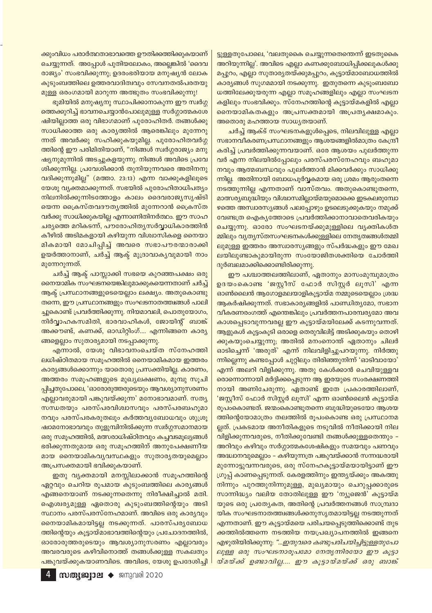ക്കുംവിധം പരാർത്ഥതാഭാവത്തെ ഊതിക്കത്തിക്കുകയാണ് ചെയ്യുന്നത്. അപ്പോൾ പുതിയലോകം, അല്ലെങ്കിൽ 'ദൈവ രാജ്യം' സംഭവിക്കുന്നു; ഉദരംഭരിയായ മനുഷ്യൻ ലോക കുടുംബത്തിലെ ഉത്തരവാദിത്വവും സേവനതൽപരതയു മുള്ള ഒരംഗമായി മാറുന്ന അത്ഭുതം സംഭവിക്കുന്നു!

ഭൂമിയിൽ മനുഷ്യനു സ്ഥാപിക്കാനാകുന്ന ഈ സ്വർഗ്ഗ ത്തെക്കുറിച്ച് ഭാവനചെയ്യാൻപോലുമുള്ള സർഗ്ഗാത്മകശേ ഷിയില്ലാത്ത ഒരു വിഭാഗമാണ് പുരോഹിതർ. തങ്ങൾക്കു സാധിക്കാത്ത ഒരു കാര്യത്തിൽ ആരെങ്കിലും മുന്നേറു ന്നത് അവർക്കു സഹിക്കുകയുമില്ല. പുരോഹിതവർഗ്ഗ ത്തിന്റെ ഈ പരിമിതിയാണ്, "നിങ്ങൾ സ്വർഗ്ഗരാജ്യം മനു ഷ്യനുമുന്നിൽ അടച്ചുകളയുന്നു. നിങ്ങൾ അവിടെ പ്രവേ ശിക്കുന്നില്ല. പ്രവേശിക്കാൻ തുനിയുന്നവരെ അതിനനു വദിക്കുന്നുമില്ല" (മത്താ. 23:13) എന്ന വാക്കുകളിലൂടെ യേശു വ്യക്തമാക്കുന്നത്. സഭയിൽ പുരോഹിതാധിപത്യം നിലനിൽക്കുന്നിടത്തോളം കാലം ദൈവരാജ്യസൃഷ്ടി യെന്ന ക്രൈസ്തവദൗതൃത്തിൽ മുന്നേറാൻ ക്രൈസ്ത വർക്കു സാധിക്കുകയില്ല എന്നാണിതിനർത്ഥം. ഈ സാഹ ചര്യത്തെ മറികടന്ന്, പൗരോഹിത്യസർവ്വാധികാരത്തിൻ <mark>കീഴിൽ അടിമകളായി കഴിയുന്ന വിശ്വാസികളെ നൈയാ</mark> മികമായി മോചിപ്പിച്ച് അവരെ സഭാപൗരന്മാരാക്കി ഉയർത്താനാണ്, ചർച്ച് ആക്ട് മുദ്രാവാക്യവുമായി നാം മുന്നേറുന്നത്.

<mark>ചർച്ച് ആക്ട് പാസ്സാക്കി സഭയെ കുറഞ്ഞപക്ഷം ഒരു</mark> നൈയാമിക സംഘടനയെങ്കിലുമാക്കുകയെന്നതാണ് ചർച്ച് ആക്ട് പ്രസ്ഥാനങ്ങളുടെയെല്ലാം ലക്ഷ്യം. അതുകൊണ്ടു തന്നെ, ഈ പ്രസ്ഥാനങ്ങളും സംഘടനാതത്തിങ്ങൾ പാലി ച്ചുകൊണ്ട് പ്രവർത്തിക്കുന്നു. നിയമാവലി, പൊതുയോഗം, നിർവ്വാഹകസമിതി, ഭാരവാഹികൾ, ജോയിന്റ് ബാങ്ക് അക്കൗണ്ട്, കണക്ക്, ഓഡിറ്റിംഗ്.... എന്നിങ്ങനെ കാര്യ ങ്ങളെല്ലാം സുതാര്യമായി നടപ്പാക്കുന്നു.

എന്നാൽ, യേശു വിഭാവനംചെയ്ത സ്നേഹത്തി ലധിഷ്ഠിതമായ സമൂഹത്തിൽ നൈയാമികമായ ഇത്തരം കാര്യങ്ങൾക്കൊന്നും യാതൊരു പ്രസക്തിയില്ല. കാരണം, അത്തരം സമൂഹങ്ങളുടെ മുഖ്യലക്ഷണം, മുമ്പു സൂചി പ്പിച്ചതുപോലെ, 'ഓരോരുത്തരുടെയും ആവശ്യാനുസരണം എല്ലാവരുമായി പങ്കുവയ്ക്കുന്ന' മനോഭാവമാണ്. സത്യ സന്ധതയും പരസ്പരവിശ്വാസവും പരസ്പരബഹുമാ നവും പരസ്പരകരുതലും കർത്തവൃബോധവും ശുശ്രൂ <mark>ഷാമനോഭാവവും തുളുമ്പിനിൽക്കുന്ന സ്വർഗ്ഗസമാനമായ</mark> ഒരു സമൂഹത്തിൽ, മത്സരാധിഷ്ഠിതവും കച്ചവടമൂല്യങ്ങൾ ഭരിക്കുന്നതുമായ ഒരു സമൂഹത്തിന് അനുപേക്ഷണീയ മായ നൈയാമികവൃവസ്ഥകളും സുതാരൃതയുമെല്ലാം അപ്രസക്തമായി ഭവിക്കുകയാണ്.

ഇതു വ്യക്തമായി മനസ്സിലാക്കാൻ സമൂഹത്തിന്റെ ഏറ്റവും ചെറിയ രൂപമായ കുടുംബത്തിലെ കാര്യങ്ങൾ എങ്ങനെയാണ് നടക്കുന്നതെന്നു നിരീക്ഷിച്ചാൽ മതി. ഐശ്വര്യമുള്ള ഏതൊരു കുടുംബത്തിന്റെയും അടി സ്ഥാനം പരസ്പരസ്നേഹമാണ്. അവിടെ ഒരു കാര്യവും നൈയാമികമായിട്ടല്ല നടക്കുന്നത്. പാരസ്പര്യബോധ ത്തിന്റെയും കൂട്ടായ്മാഭാവത്തിന്റെയും പ്രചോദനത്തിൽ, ഓരോരുത്തരുടെയും ആവശ്യാനുസരണം എല്ലാവരും അവരവരുടെ കഴിവിനൊത്ത് തങ്ങൾക്കുള്ള സകലതും പങ്കുവയ്ക്കുകയാണവിടെ. അവിടെ, യേശു ഉപദേശിച്ചി ട്ടുള്ളതുപോലെ, 'വലതുകൈ ചെയ്യുന്നതെന്തെന്ന് ഇടതുകൈ അറിയുന്നില്ല'. അവിടെ എല്ലാ കണക്കുബോധിപ്പിക്കലുകൾക്കു മപ്പുറം, എല്ലാ സുതാര്യതയ്ക്കുമപ്പുറം, കൂട്ടായ്മാബോധത്തിൽ കാര്യങ്ങൾ സുഗമമായി നടക്കുന്നു. ഇതുതന്നെ കുടുംബബോ ധത്തിലേക്കുയരുന്ന എല്ലാ സമൂഹങ്ങളിലും എല്ലാ സംഘടന കളിലും സംഭവിക്കും. സ്നേഹത്തിന്റെ കൂട്ടായ്മകളിൽ എല്ലാ നൈയാമികതകളും അപ്രസക്തമായി അപ്രതൃക്ഷമാകും. അതൊരു മഹത്തായ സാധൃതയാണ്.

ചർച്ച് ആക്ട് സംഘടനകളുൾപ്പെടെ, നിലവിലുള്ള എല്ലാ സഭാനവീകരണപ്രസ്ഥാനങ്ങളും ആശയങ്ങളിൽമാത്രം കേന്ദ്രീ കരിച്ച് പ്രവർത്തിക്കുന്നവയാണ്. ഒരേ ആശയം പുലർത്തുന്ന വർ എന്ന നിലയിൽപ്പോലും പരസ്പരസ്നേഹവും ബഹുമാ നവും ആത്മബന്ധവും പുലർത്താൻ മിക്കവർക്കും സാധിക്കു ന്നില്ല. അതിനായി ബോധപൂർവ്വകമായ ഒരു ശ്രമം ആരുംതന്നെ നടത്തുന്നില്ല എന്നതാണ് വാസ്തവം. അതുകൊണ്ടുതന്നെ, മാത്സര്യബുദ്ധിയും വിശ്വാസമില്ലായ്മയുമൊക്കെ ഇടകലരുമ്പോ ഴത്തെ അസ്വാരസ്യങ്ങൾ പലപ്പോഴും ഉടലെടുക്കുകയും നമുക്ക് വേണ്ടത്ര ഐകൃത്തോടെ പ്രവർത്തിക്കാനാവാതെവരികയും ചെയ്യുന്നു. ഓരോ സംഘടനയ്ക്കുമുള്ളിലെ വ്യക്തികൾത മ്മിലും വൃത്യസ്തസംഘടനകൾക്കുള്ളിലെ നേതൃത്വങ്ങൾതമ്മി ലുമുള്ള ഇത്തരം അസ്വാരസ്യങ്ങളും സ്പർദ്ധകളും ഈ മേഖ ലയിലുണ്ടാകുമായിരുന്ന സംയോജിതശക്തിയെ ചോർത്തി ദുർബലമാക്കിക്കൊണ്ടിരിക്കുന്നു.

ഈ പശ്ചാത്തലത്തിലാണ്, ഏതാനും മാസംമുമ്പുമാത്രം ഉദയംകൊണ്ട 'ജസ്റ്റീസ് ഫോർ സിസ്റ്റർ ലൂസി' എന്ന ഓൺലൈൻ ആഗോളമലയാളികൂട്ടായ്മ നമ്മുടെയെല്ലാം ശ്രദ്ധ ആകർഷിക്കുന്നത്. സഭാകാര്യങ്ങളിൽ പാണ്ഡിത്യമോ, സഭാന വീകരണരംഗത്ത് എന്തെങ്കിലും പ്രവർത്തനപാരമ്പര്യമോ അവ കാശപ്പെടാവുന്നവരല്ല ഈ കൂട്ടായ്മയിലേക്ക് കടന്നുവന്നത്. ആളുകൾ കൂട്ടംകൂടി ഒരാളെ തെരുവിലിട്ട് അടിക്കുകയും തൊഴി ക്കുകയുംചെയ്യുന്നു; അതിൽ മനംനൊന്ത് ഏതാനും ചിലർ ഓടിച്ചെന്ന് 'അരുത്' എന്ന് നിലവിളിച്ചുപറയുന്നു. നിർത്തു ന്നില്ലെന്നു കണ്ടപ്പോൾ ചുറ്റിലും തിരിഞ്ഞുനിന്ന് 'ഓടിവായോ' എന്ന് അലറി വിളിക്കുന്നു. അതു കേൾക്കാൻ ചെവിയുള്ളവ രൊന്നൊന്നായി മർദ്ദിക്കപ്പെടുന്ന ആ ഇരയുടെ സംരക്ഷണത്തി നായി അണിചേരുന്നു. ഏതാണ്ട് ഇതേ പ്രകാരത്തിലാണ്, 'ജസ്റ്റീസ് ഫോർ സിസ്റ്റർ ലൂസി' എന്ന ഓൺലൈൻ കൂട്ടായ്മ രുപംകൊണ്ടത്. ജന്മംകൊണ്ടുതന്നെ ബുദ്ധിയുടെയോ ആശയ ത്തിന്റെയോമാത്രം തലത്തിൽ രൂപംകൊണ്ട ഒരു പ്രസ്ഥാനമ ല്ലത്. പ്രകടമായ അനീതികളുടെ നടുവിൽ നീതിക്കായി നില വിളിക്കുന്നവരുടെ, നീതിക്കുവേണ്ടി തങ്ങൾക്കുള്ളതെന്തും – അറിവും കഴിവും സർഗ്ഗാത്മകശേഷികളും സമയവും പണവും അദ്ധാനവുമെല്ലാം – കഴിയുന്നത്ര പങ്കുവയ്ക്കാൻ സന്നദ്ധരായി മുന്നോട്ടുവന്നവരുടെ, ഒരു സ്നേഹകൂട്ടായ്മയായിട്ടാണ് ഈ ഗ്രൂപ്പ് കാണപ്പെടുന്നത്. കേരളത്തിനും ഇന്ത്യയ്ക്കും അകത്തു നിന്നും പുറത്തുനിന്നുമുള്ള, മുഖ്യമായും ചെറുപ്പക്കാരുടെ സാന്നിദ്ധ്യം വലിയ തോതിലുള്ള ഈ 'ന്യൂജെൻ' കൂട്ടായ്മ യുടെ ഒരു പ്രത്യേകത, അതിന്റെ പ്രവർത്തനങ്ങൾ സാമ്പ്രദാ യിക സംഘടനാതത്ത്വങ്ങൾക്കനുസൃതമായിട്ടല്ല നടത്തുന്നത് എന്നതാണ്. ഈ കൂട്ടായ്മയെ പരിചയപ്പെടുത്തിക്കൊണ്ട് തുട ക്കത്തിൽത്തന്നെ നടത്തിയ നയപ്രഖ്യാപനത്തിൽ ഇങ്ങനെ .എഴുതിയിരിക്കുന്നു: "*...ഇതുവരെ കണ്ടുപരിചയിച്ചിട്ടുള്ളതുപോ* ലുള്ള ഒരു സംഘടനാരൂപമോ നേതൃന്നിരയോ ഈ കൂട്ടാ യ്മയ്ക്ക് ഉണ്ടാവില്ല.... ഈ കൂട്ടായ്മയ്ക്ക് ഒരു ബാങ്ക്

4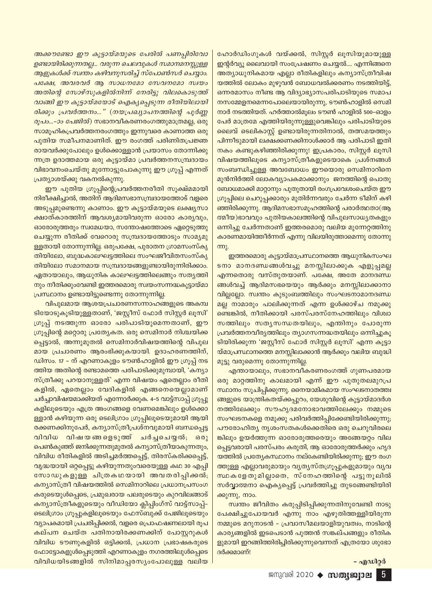അക്കൗണ്ടോ ഈ കൂട്ടായ്മയുടെ പേരിൽ പണപ്പിരിവോ ഉണ്ടായിരിക്കുന്നതല്ല... വരുന്ന ചെലവുകൾ സമാനമനസ്സുള്ള ആളുകൾക്ക് സ്ഥതം കഴിവനുസരിച്ച് സ്പോൺസർ ചെയ്യാം. പക്ഷേ, അവരവർ ആ സാധനമോ സേവനമോ സ്വയം അതിന്റെ സോഴ്സുകളിൽനിന്ന് നേരിട്ടു വിലകൊടുത്ത് വാങ്ങി ഈ കൂട്ടായ്മയോട് ഐകൃപ്പെടുന്ന രീതിയിലായി രിക്കും പ്രവർത്തനം..." (നയപ്രഖ്യാപനത്തിന്റെ പൂർണ്ണ *രൂപം...-ാം പേജിൽ*) സഭാനവീകരണരംഗത്തുമാത്രമല്ല, ഒരു സാമൂഹികപ്രവർത്തനരംഗത്തും ഇന്നുവരെ കാണാത്ത ഒരു പുതിയ സമീപനമാണിത്. ഈ രംഗത്ത് പരിണിതപ്രജ്ഞ രായവർക്കുപോലും ഉൾക്കൊള്ളാൻ പ്രയാസം തോന്നിക്കു ന്നത്ര ഉദാത്തമായ ഒരു കൂട്ടായ്മാ പ്രവർത്തനസമ്പ്രദായം വിഭാവനംചെയ്തു മുന്നോട്ടുപോകുന്നു ഈ ഗ്രൂപ്പ് എന്നത് പ്രത്യാശയ്ക്കു വകനൽകുന്നു.

ഈ പുതിയ ഗ്രൂപ്പിന്റെപ്രവർത്തനരീതി സൂക്ഷ്മമായി നിരീക്ഷിച്ചാൽ, അതിന് ആദിമസഭാസമ്പ്രദായത്തോട് വളരെ അടുപ്പമുണ്ടെന്നു കാണാം. ഈ കൂട്ടായ്മയുടെ ലക്ഷ്യസാ ക്ഷാത്കാരത്തിന് ആവശ്യമായിവരുന്ന ഓരോ കാര്യവും, ഓരോരുത്തരും സ്വമേധയാ, സന്തോഷത്തോടെ ഏറ്റെടുത്തു ചെയ്യുന്ന രീതിക്ക് വേറൊരു സമ്പ്രദായത്തോടും സാമ്യമു ള്ളതായി തോന്നുന്നില്ല. ഒരുപക്ഷേ, പുരാതന ഗ്രാമസംസ്കൃ തിയിലോ, ബുദ്ധകാലഘട്ടത്തിലെ സംഘജീവിതസംസ്കൃ തിയിലോ സമാനമായ സമ്പ്രദായങ്ങളുണ്ടായിരുന്നിരിക്കാം. ഏതായാലും, ആധുനിക കാലഘട്ടത്തിലെങ്ങും സത്യത്തി നും നീതിക്കുംവേണ്ടി ഇത്തരമൊരു സ്വയംസന്നദ്ധകൂട്ടായ്മാ പ്രസ്ഥാനം ഉണ്ടായിട്ടുണ്ടെന്നു തോന്നുന്നില്ല.

വിപുലമായ ആശയപ്രചാരണസന്നാഹങ്ങളുടെ അകമ്പ ടിയോടുകൂടിയുള്ളതാണ്, 'ജസ്റ്റീസ് ഫോർ സിസ്റ്റർ ലൂസി' ഗ്രൂപ്പ് നടത്തുന്ന ഓരോ പരിപാടിയുമെന്നതാണ്, ഈ ഗ്രൂപ്പിന്റെ മറ്റൊരു പ്രത്യേകത. ഒരു സെമിനാർ നിശ്ചയിക്ക പ്പെട്ടാൽ, അന്നുമുതൽ സെമിനാർവിഷയത്തിന്റെ വിപുല മായ പ്രചാരണം ആരംഭിക്കുകയായി. ഉദാഹരണത്തിന്, ഡിസം. 17 – ന് എറണാകുളം ടൗൺഹാളിൽ ഈ ഗ്രൂപ്പ് നട ത്തിയ അതിന്റെ രണ്ടാമത്തെ പരിപാടിക്കുമുമ്പായി, 'കന്യാ സ്ത്രീക്കു പറയാനുള്ളത്' എന്ന വിഷയം ഏതെല്ലാം രീതി കളിൽ, ഏതെല്ലാം വേദികളിൽ എങ്ങനെയെല്ലാമാണ് ചർച്ചാവിഷയമാക്കിയത് എന്നോർക്കുക. 4–5 വാട്ട്സാപ്പ് ഗ്രൂപ്പു കളിലൂടെയും എത്ര അംഗങ്ങളെ വേണമെങ്കിലും ഉൾക്കൊ ള്ളാൻ കഴിയുന്ന ഒരു ടെലിഗ്രാം ഗ്രൂപ്പിലൂടെയുമായി ആയി രക്കണക്കിനുപേർ, കന്യാസ്ത്രീപ്രശ്നവുമായി ബന്ധപ്പെട്ട വിവിധ വിഷയങ്ങളെടുത്ത് ചർച്ചചെയ്യൽ; ഒരു പെൺകുഞ്ഞ് ജനിക്കുന്നതുമുതൽ കന്യാസ്ത്രീയാകുന്നതും, വിവിധ രീതികളിൽ അടിച്ചമർത്തപ്പെട്ട്, തിരസ്കരിക്കപ്പെട്ട്, വൃദ്ധയായി ഒറ്റപ്പെട്ടു കഴിയുന്നതുംവരെയുള്ള കഥ 30 എപ്പി സോഡുകളുള്ള ചിത്രകഥയായി അവതരിപ്പിക്കൽ; കന്യാസ്ത്രീ വിഷയത്തിൽ സെമിനാറിലെ പ്രധാനപ്രസംഗ കരുടെയുൾപ്പെടെ, പ്രമുഖരായ പലരുടെയും കുറവിലങ്ങാട് കന്യാസ്ത്രീകളുടെയും വീഡിയോ ക്ലിപ്പിംഗ്സ് വാട്ട്സാപ്പ്– ടെലിഗ്രാം ഗ്രൂപ്പുകളിലൂടെയും ഫേസ്ബുക്ക് പേജിലൂടെയും വ്യാപകമായി പ്രചരിപ്പിക്കൽ, വളരെ പ്രൊഫഷണലായി രൂപ കല്പന ചെയ്ത പതിനായിരക്കണക്കിന് പോസ്റ്ററുകൾ വിവിധ ടൗണുകളിൽ ഒട്ടിക്കൽ, പ്രധാന പ്രഭാഷകരുടെ ഫോട്ടോകളുൾപ്പെടുത്തി എറണാകുളം നഗരത്തിലുൾപ്പെടെ വിവിധയിടങ്ങളിൽ സിനിമാപ്പരസ്യംപോലുള്ള വലിയ ഹോർഡിംഗുകൾ വയ്ക്കൽ, സിസ്റ്റർ ലുസിയുമായുള്ള ഇന്റർവ്യൂ ലൈവായി സംപ്രേഷണം ചെയ്യൽ.... എന്നിങ്ങനെ അത്യാധുനികമായ എല്ലാ രീതികളിലും കന്യാസ്ത്രീവിഷ യത്തിൽ ലോകം മുഴുവൻ ബോധവൽക്കരണം നടത്തിയിട്ട്, ഒന്നരമാസം നീണ്ട ആ വിദ്യാഭ്യാസപരിപാടിയുടെ സമാപ നസമ്മേളനമെന്നപോലെയായിരുന്നു, ടൗൺഹാളിൽ സെമി നാർ നടത്തിയത്. ഹർത്താൽമൂലം ടൗൺ ഹാളിൽ 500–ഓളം പേർ മാത്രമേ എത്തിയിരുന്നുള്ളുവെങ്കിലും പരിപാടിയുടെ ലൈവ് ടെലികാസ്റ്റ് ഉണ്ടായിരുന്നതിനാൽ, തത്സമയത്തും പിന്നീടുമായി ലക്ഷക്കണക്കിനാൾക്കാർ ആ പരിപാടി ഇതി നകം കണ്ടുകഴിഞ്ഞിരിക്കുന്നു! ഇപ്രകാരം, സിസ്റ്റർ ലുസി വിഷയത്തിലൂടെ കന്യാസ്ത്രീകളുടെയാകെ പ്രശ്നങ്ങൾ സംബന്ധിച്ചുള്ള അവബോധം ഈയൊരു സെമിനാറിനെ മുൻനിർത്തി ലോകവ്യാപകമാക്കാനും ജനത്തിന്റെ പൊതു ബോധമാക്കി മാറ്റാനും പുതുതായി രംഗപ്രവേശംചെയ്ത ഈ ഗ്രൂപ്പിലെ ചെറുപ്പക്കാരും മുതിർന്നവരും ചേർന്ന ടീമിന് കഴി ഞ്ഞിരിക്കുന്നു. ആദിമസഭാസമൂഹത്തിന്റെ പരാർത്ഥതാ(ആ ത്മീയ)ഭാവവും പുതിയകാലത്തിന്റെ വിപുലസാധൃതകളും ഒന്നിച്ചു ചേർന്നതാണ് ഇത്തരമൊരു വലിയ മുന്നേറ്റത്തിനു കാരണമായിത്തീർന്നത് എന്നു വിലയിരുത്താമെന്നു തോന്നു  $m<sub>λ</sub>$ .

ഇത്തരമൊരു കൂട്ടായ്മാപ്രസ്ഥാനത്തെ ആധുനികസംഘ ടനാ മാനദണ്ഡങ്ങൾവച്ചു മനസ്സിലാക്കുക എളുപ്പമല്ല എന്നതൊരു വസ്തുതയാണ്. പക്ഷേ, അതേ മാനദണ്ഡ ങ്ങൾവച്ച് ആദിമസഭയെയും ആർക്കും മനസ്സിലാക്കാനാ വില്ലല്ലോ. സ്വന്തം കുടുംബത്തിലും സംഘടനാമാനദണ്ഡ മല്ല നാമാരും പാലിക്കുന്നത് എന്ന ഉൾക്കാഴ്ച നമുക്കു ണ്ടെങ്കിൽ, നീതിക്കായി പരസ്പരസ്നേഹത്തിലും വിശ്വാ സത്തിലും സതൃസന്ധതയിലും, എന്തിനും പോരുന്ന പ്രവർത്തനവീര്യത്തിലും ത്യാഗസന്നദ്ധതയിലും ഒന്നിച്ചുകൂ ടിയിരിക്കുന്ന 'ജസ്റ്റീസ് ഫോർ സിസ്റ്റർ ലൂസി' എന്ന കൂട്ടാ യ്മാപ്രസ്ഥാനത്തെ മനസ്സിലാക്കാൻ ആർക്കും വലിയ ബുദ്ധി മുട്ടു വരുമെന്നു തോന്നുന്നില്ല.

എന്തായാലും, സഭാനവീകരണരംഗത്ത് ഗുണപരമായ ഒരു മാറ്റത്തിനു കാലമായി എന്ന് ഈ പുതുതലമുറപ്ര <mark>സ്ഥാനം സൂചിപ്പിക്കുന്നു. നൈയാമികമായ സംഘടനാതത്ത്വ</mark> ങ്ങളുടെ യാന്ത്രികതയ്ക്കപ്പുറം, യേശുവിന്റെ കൂട്ടായ്മാദർശ നത്തിലേക്കും സൗഹൃദമനോഭാവത്തിലേക്കും നമ്മുടെ സംഘടനകളെ നമുക്കു പരിവർത്തിപ്പിക്കേണ്ടിയിരിക്കുന്നു; പൗരോഹിത്യ നൃശംസതകൾക്കെതിരെ ഒരു ചെറുവിരലെ ങ്കിലും ഉയർത്തുന്ന ഓരോരുത്തരെയും അങ്ങേയറ്റം വില പ്പെട്ടവരായി പരസ്പരം കരുതി, ആ ഓരോരുത്തർക്കും ഹൃദ യത്തിൽ പ്രത്യേകസ്ഥാനം നല്കേണ്ടിയിരിക്കുന്നു; ഈ രംഗ ത്തുള്ള എല്ലാവരുമായും വ്യത്യസ്തഗ്രൂപ്പുകളുമായും വ്യവ സ്ഥകളേതുമില്ലാതെ, സ്നേഹത്തിന്റെ പട്ടുനൂലിൽ സർവ്വാത്മനാ ഐക്യപ്പെട്ട് പ്രവർത്തിച്ചു തുടങ്ങേണ്ടിയിരി ക്കുന്നു, നാം.

സ്വന്തം ജീവിതം കരുപ്പിടിപ്പിക്കുന്നതിനുവേണ്ടി നാടു പേക്ഷിച്ചുപോയവർ എന്നു നാം എഴുതിത്തള്ളിയിരുന്ന നമ്മുടെ മറുനാടൻ – പ്രവാസീമലയാളിയുവത്വം, നാടിന്റെ കാര്യങ്ങളിൽ ഇടപെടാൻ പുത്തൻ സങ്കല്പങ്ങളും രീതിക ളുമായി ഇറങ്ങിത്തിരിച്ചിരിക്കുന്നുവെന്നത് എത്രയോ ശുഭോ ദർക്കമാണ്!

#### - എഡിറ്റർ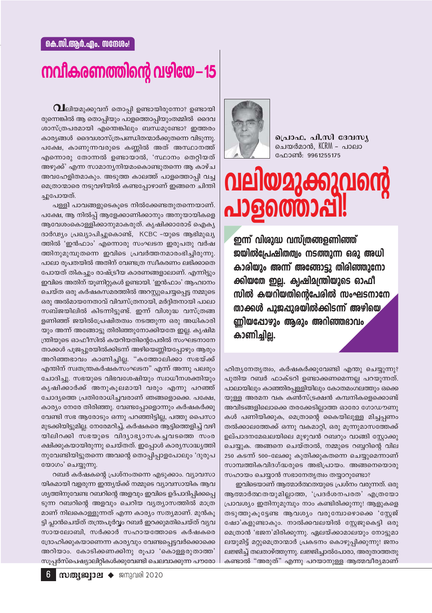### നവീകരണത്തിന്റെ വഴിയേ – 15

 ${\bf \Omega}$ ലിയമുക്കുവന് തൊപ്പി ഉണ്ടായിരുന്നോ? ഉണ്ടായി രുന്നെങ്കിൽ ആ തൊപ്പിയും പാളത്തൊപ്പിയുംതമ്മിൽ ദൈവ ശാസ്ത്രപരമായി എന്തെങ്കിലും ബന്ധമുണ്ടോ? ഇത്തരം കാര്യങ്ങൾ ദൈവശാസ്ത്രപണ്ഡിതന്മാർക്കുതന്നെ വിടുന്നു. പക്ഷേ, കാണുന്നവരുടെ കണ്ണിൽ അത് അസ്ഥാനത്ത് എന്നൊരു തോന്നൽ ഉണ്ടായാൽ, 'സ്ഥാനം തെറ്റിയത് അഴുക്ക്' എന്ന സാമാനൃനിയമംകൊണ്ടുതന്നെ ആ കാഴ്ച അവഹേളിതമാകും. അടുത്ത കാലത്ത് പാളത്തൊപ്പി വച്ച മെത്രാന്മാരെ നടുവഴിയിൽ കണ്ടപ്പോഴാണ് ഇങ്ങനെ ചിന്തി ചുപോയത്.

പള്ളി പാവങ്ങളുടെകൂടെ നിൽക്കേണ്ടതുതന്നെയാണ്. പക്ഷേ, ആ നിൽപ്പ് ആളേക്കാണിക്കാനും അനുയായികളെ ആവേശംകൊള്ളിക്കാനുമാകരുത്. കൃഷിക്കാരോട് ഐകൃ ദാർഢ്യം പ്രഖ്യാപിച്ചുകൊണ്ട്, KCBC -യുടെ ആഭിമുഖ്യ ത്തിൽ 'ഇൻഫാം' എന്നൊരു സംഘടന ഇരുപതു വർഷ ത്തിനുമുമ്പുതന്നെ ഇവിടെ പ്രവർത്തനമാരംഭിച്ചിരുന്നു. പാലാ രൂപതയിൽ അതിന് വേണ്ടത്ര സ്വീകരണം ലഭിക്കാതെ പോയത് തികച്ചും രാഷ്ട്രീയ കാരണങ്ങളാലാണ്. എന്നിട്ടും ഇവിടെ അതിന് യൂണിറ്റുകൾ ഉണ്ടായി. 'ഇൻഫാം' ആഹ്വാനം ചെയ്ത ഒരു കർഷകസമരത്തിൽ അറസ്റ്റുചെയ്യപ്പെട്ട നമ്മുടെ ഒരു അൽമായനേതാവ് വിവസ്ത്രനായി, മർദ്ദിതനായി പാലാ സബ്ജയിലിൽ കിടന്നിട്ടുണ്ട്. ഇന്ന് വിശുദ്ധ വസ്ത്രങ്ങ ളണിഞ്ഞ് ജയിൽപ്രേഷിതത്വം നടത്തുന്ന ഒരു അധികാരി യും അന്ന് അങ്ങോട്ടു തിരിഞ്ഞുനോക്കിയതേ ഇല്ല. കൃഷിമ ന്ത്രിയുടെ ഓഫീസിൽ കയറിയതിന്റെപേരിൽ സംഘടനാനേ താക്കൾ പൂജപ്പുരയിൽക്കിടന്ന് അഴിയെണ്ണിയപ്പോഴും ആരും അറിഞ്ഞഭാവം കാണിച്ചില്ല. "കത്തോലിക്കാ സഭയ്ക്ക് എന്തിന് സ്വതന്ത്രകർഷകസംഘടന" എന്ന് അന്നു പലരും ചോദിച്ചു. സഭയുടെ വിഭവശേഷിയും സ്വാധീനശക്തിയും കൃഷിക്കാർക്ക് അനുകൂലമായി വരും എന്നു പറഞ്ഞ് ചോദ്യത്തെ പ്രതിരോധിച്ചവരാണ് ഞങ്ങളൊക്കെ. പക്ഷേ, കാര്യം നേരേ തിരിഞ്ഞു. വേണ്ടപ്പോളൊന്നും കർഷകർക്കു വേണ്ടി സഭ ആരോടും ഒന്നു പറഞ്ഞിട്ടില്ല, പത്തു പൈസാ മുടക്കിയിട്ടുമില്ല. നേരേമറിച്ച്, കർഷകരെ ആട്ടിത്തെളിച്ച് വഴി യിലിറക്കി സഭയുടെ വിദ്യാഭ്യാസകച്ചവടത്തെ സംര ക്ഷിക്കുകയായിരുന്നു ചെയ്തത്. ഇപ്പോൾ കാര്യസാദ്ധ്യത്തി നുവേണ്ടിയിട്ടുതന്നെ അവന്റെ തൊപ്പിപ്പാളപോലും 'ദുരുപ യോഗം' ചെയ്യുന്നു.

റബർ കർഷകന്റെ പ്രശ്നംതന്നെ എടുക്കാം. വ്യാവസാ യികമായി വളരുന്ന ഇന്ത്യയ്ക്ക് നമ്മുടെ വ്യാവസായിക ആവ ശ്യത്തിനുവേണ്ട റബറിന്റെ അളവും ഇവിടെ ഉദ്പാദിപ്പിക്കപ്പെ ടുന്ന റബറിന്റെ അളവും ചെറിയ വ്യത്യാസത്തിൽ മാത്ര മാണ് നിലകൊള്ളുന്നത് എന്ന കാര്യം സത്യമാണ്. മുൻകൂ ട്ടി പ്ലാൻചെയ്ത് തന്ത്രപൂർവ്വം റബർ ഇറക്കുമതിചെയ്ത് വ്യവ സായലോബി, സർക്കാർ സഹായത്തോടെ കർഷകരെ ദ്രോഹിക്കുകയാണെന്ന കാര്യവും വേണ്ടപ്പെട്ടവർക്കൊക്കെ അറിയാം. കോടിക്കണക്കിനു രൂപാ 'കൊള്ളരുതാത്ത' സൂപ്പർസ്പെഷ്യാലിറ്റികൾക്കുവേണ്ടി ചെലവാക്കുന്ന പൗരോ



പ്രൊഫ. പി.സി ദേവസ്യ ചെയർമാൻ, KCRM – പാലാ ഫോൺ: 9961255175

## വലിയമുക്കുവന്റെ <u> 1960000 പ</u>

ഇന്ന് വിശുദ്ധ വസ്ത്രങ്ങളണിഞ്ഞ് ജയിൽപ്രേഷിതത്വം നടത്തുന്ന ഒരു അധി കാരിയും അന്ന് അങ്ങോട്ടു തിരിഞ്ഞുനോ ക്കിയതേ ഇല്ല. ക്വഷിമന്ത്രിയുടെ ഓഫീ സിൽ കയറിയതിന്റെപേരിൽ സംഘടനാനേ താക്കൾ പൂജപ്പുരയിൽക്കിടന്ന് അഴിയെ ണ്ണിയപ്പോഴും ആരും അറിഞ്ഞഭാവം കാണിച്ചില്ല.

ഹിത്യനേതൃത്വം, കർഷകർക്കുവേണ്ടി എന്തു ചെയ്യുന്നു? പുതിയ റബർ ഫാക്ടറി ഉണ്ടാക്കണമെന്നല്ല പറയുന്നത്. പാലായിലും കാഞ്ഞിരപ്പള്ളിയിലും കോതമംഗലത്തും ഒക്കെ യുള്ള അരമന വക കൺസ്ട്രക്ഷൻ കമ്പനികളെക്കൊണ്ട് അവിടങ്ങളിലൊക്കെ തരക്കേടില്ലാത്ത ഓരോ ഗോഡൗണു കൾ പണിയിക്കുക, മെത്രാന്റെ കൈയിലുള്ള മിച്ചപ്പണം തൽക്കാലത്തേക്ക് ഒന്നു വകമാറ്റി, ഒരു മുന്നുമാസത്തേക്ക് ഉല്പാദനമേഖലയിലെ മുഴുവൻ റബറും വാങ്ങി സ്റ്റോക്കു ചെയ്യുക. അങ്ങനെ ചെയ്താൽ, നമ്മുടെ റബ്ബറിന്റെ വില 250 കടന്ന് 500–ലേക്കു കുതിക്കുകതന്നെ ചെയ്യുമെന്നാണ് സാമ്പത്തികവിദഗ്ദ്ധരുടെ അഭിപ്രായം. അങ്ങനെയൊരു സഹായം ചെയ്യാൻ സഭാനേതൃത്വം തയ്യാറുണ്ടോ?

ഇവിടെയാണ് ആത്മാർത്ഥതയുടെ പ്രശ്നം വരുന്നത്. ഒരു ആത്മാർത്ഥതയുമില്ലാത്ത, 'പ്രദർശനപരത' എത്രയോ പ്രാവശ്യം ഇതിനുമുമ്പും നാം കണ്ടിരിക്കുന്നു! ആളുകളെ തടുത്തുകൂട്ടേണ്ട ആവശ്യം വരുമ്പോഴൊക്കെ 'സ്റ്റേജ് ഷോ'കളുണ്ടാകും. നാൽക്കവലയിൽ സ്റ്റേജുകെട്ടി ഒരു മെത്രാൻ 'ഭജന'മിരിക്കുന്നു. ഏലയ്ക്കാമാലയും നോട്ടുമാ ലയുമിട്ട് മറ്റുമെത്രാന്മാർ പ്രകടനം കൊഴുപ്പിക്കുന്നു! ജനം ലജ്ജിച്ച് തലതാഴ്ത്തുന്നു. ലജ്ജിച്ചാൽപോരാ, അരുതാത്തതു കണ്ടാൽ "അരുത്" എന്നു പറയാനുള്ള ആത്മവീര്യമാണ്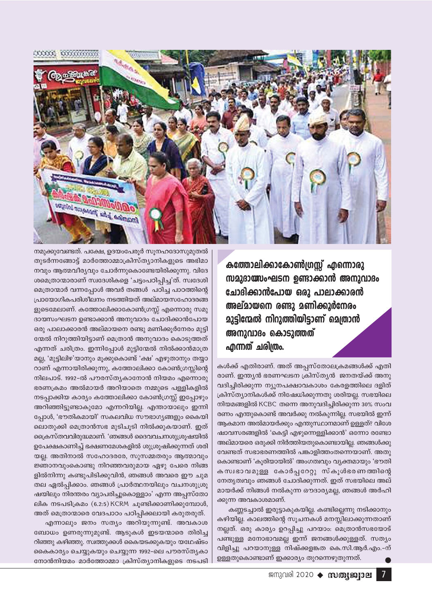

കത്തോലിക്കാകോൺഗ്രസ്സ് എന്നൊരു സമുദായ്സംഘടന ഉണ്ടാക്കാൻ അനുവാദം ചോദിക്കാൻപോയ ഒരു പാലാക്കാരൻ അല്മായനെ രണ്ടു മണിക്കൂർനേരം **മുട്ടിന്മേൽ നിറുത്തിയിട്ടാണ് മെത്രാൻ** അനുവാദം കൊടുത്തത് എന്നത് ചരിത്രം.

കൾക്ക് എതിരാണ്. അത് അപ്പസ്തോലക്രമങ്ങൾക്ക് എതി രാണ്. ഇന്ത്യൻ ഭരണഘടന ക്രിസ്ത്യൻ ജനതയ്ക്ക് അനു വദിച്ചിരിക്കുന്ന ന്യൂനപക്ഷാവകാശം കേരളത്തിലെ ദളിത് ക്രിസ്ത്യാനികൾക്ക് നിഷേധിക്കുന്നതു ശരിയല്ല. സഭയിലെ നിയമങ്ങളിൽ KCBC തന്നെ അനുവദിച്ചിരിക്കുന്ന 30% സംവ രണം എന്തുകൊണ്ട് അവർക്കു നൽകുന്നില്ല. സഭയിൽ ഇന്ന് ആകമാന അൽമായർക്കും എന്തുസ്ഥാനമാണ് ഉള്ളത്? വിശേ ഷാവസരങ്ങളിൽ 'കെട്ടി എഴുന്നെള്ളിക്കാൻ' ഒന്നോ രണ്ടോ അല്മായരെ ഒരുക്കി നിർത്തിയതുകൊണ്ടായില്ല. ഞങ്ങൾക്കു വേണ്ടത് സഭാഭരണത്തിൽ പങ്കാളിത്തംതന്നെയാണ്. അതു കൊണ്ടാണ് 'കുരിയായിൽ' അംഗത്വവും വ്യക്തമായും 'ഭൗതി കസ്വഭാവമുള്ള കോർപ്പറേറ്റു സ്കൂൾഭരണത്തിന്റെ നേതൃത്വവും ഞങ്ങൾ ചോദിക്കുന്നത്. ഇത് സഭയിലെ അല് മായർക്ക് നിങ്ങൾ നൽകുന്ന ഔദാര്യമല്ല, ഞങ്ങൾ അർഹി ക്കുന്ന അവകാശമാണ്.

കണ്ണടച്ചാൽ ഇരുട്ടാകുകയില്ല. കണ്ടില്ലെന്നു നടിക്കാനും കഴിയില്ല. കാലത്തിന്റെ സൂചനകൾ മനസ്സിലാക്കുന്നതാണ് നല്ലത്. ഒരു കാര്യം ഉറപ്പിച്ചു പറയാം: മെത്രാൻസഭയോട് പണ്ടുള്ള മനോഭാവമല്ല ഇന്ന് ജനങ്ങൾക്കുള്ളത്. സത്യം വിളിച്ചു പറയാനുള്ള നിഷ്ക്കളങ്കത കെ.സി.ആർ.എം.-ന് ഉള്ളതുകൊണ്ടാണ് ഇക്കാര്യം തുറന്നെഴുതുന്നത്.

നമുക്കുവേണ്ടത്. പക്ഷേ, ഉദയംപേരൂർ സുനഹദോസുമുതൽ തുടർന്നങ്ങോട്ട് മാർത്തോമ്മാക്രിസ്ത്യാനികളുടെ അഭിമാ നവും ആത്മവീര്യവും ചോർന്നുകൊണ്ടേയിരിക്കുന്നു. വിദേ ശമെത്രാന്മാരാണ് സ്വദേശികളെ 'ചട്ടംപഠിപ്പിച്ച'ത്. സ്വദേശി മെത്രാന്മാർ വന്നപ്പോൾ അവർ തങ്ങൾ പഠിച്ച പാഠത്തിന്റെ പ്രായോഗികപരിശീലനം നടത്തിയത് അല്മായസഹോദരങ്ങ ളുടെമേലാണ്. കത്തോലിക്കാകോൺഗ്രസ്സ് എന്നൊരു സമു ദായസംഘടന ഉണ്ടാക്കാൻ അനുവാദം ചോദിക്കാൻപോയ ഒരു പാലാക്കാരൻ അല്മായനെ രണ്ടു മണിക്കുർനേരം മുട്ടി ന്മേൽ നിറുത്തിയിട്ടാണ് മെത്രാൻ അനുവാദം കൊടുത്തത് എന്നത് ചരിത്രം. ഇന്നിപ്പോൾ മുട്ടിന്മേൽ നിൽക്കാൻമാത്ര മല്ല, 'മുട്ടിലിഴ'യാനും മൂക്കുകൊണ്ട് 'ക്ഷ' എഴുതാനും തയ്യാ റാണ് എന്നായിരിക്കുന്നു, കത്തോലിക്കാ കോൺഗ്രസ്സിന്റെ നിലപാട്. 1992-ൽ പൗരസ്തൃകാനോൻ നിയമം എന്നൊരു ഭരണക്രമം അൽമായർ അറിയാതെ നമ്മുടെ പള്ളികളിൽ നടപ്പാക്കിയ കാര്യം കത്തോലിക്കാ കോൺഗ്രസ്സ് ഇപ്പോഴും അറിഞ്ഞിട്ടുണ്ടാകുമോ എന്നറിയില്ല. എന്തായാലും ഇന്നി പ്പോൾ, 'ഭൗതികമായി' സകലവിധ സൗഭാഗ്യങ്ങളും കൈയി ലൊതുക്കി മെത്രാൻസഭ മുടിചൂടി നിൽക്കുകയാണ്. ഇത് ക്രൈസ്തവവിരുദ്ധമാണ്. 'ഞങ്ങൾ ദൈവവചനശുശ്രൂഷയിൽ ഉപേക്ഷകാണിച്ച് ഭക്ഷണമേശകളിൽ ശുശ്രൂഷിക്കുന്നത് ശരി യല്ല. അതിനാൽ സഹോദരരേ, സുസമ്മതരും ആത്മാവും ജ്ഞാനവുംകൊണ്ടു നിറഞ്ഞവരുമായ ഏഴു പേരെ നിങ്ങ ളിൽനിന്നു കണ്ടുപിടിക്കുവിൻ, ഞങ്ങൾ അവരെ ഈ ചുമ തല ഏൽപ്പിക്കാം. ഞങ്ങൾ പ്രാർത്ഥനയിലും വചനശുശ്രൂ ഷയിലും നിരന്തരം വ്യാപരിച്ചുകൊള്ളാം' എന്ന അപ്പസ്തോ ലിക നടപടിക്രമം (6.2:5) KCRM ചൂണ്ടിക്കാണിക്കുമ്പോൾ, അത് മെത്രാന്മാരെ വേദപാഠം പഠിപ്പിക്കലായി കരുതരുത്.

എന്നാലും ജനം സത്യം അറിയുന്നുണ്ട്. അവകാശ ബോധം ഉണരുന്നുമുണ്ട്. ആടുകൾ ഇടയന്മാരെ തിരിച്ച റിഞ്ഞു കഴിഞ്ഞു. സ്വത്തുക്കൾ കൈയടക്കുകയും യഥേഷ്ടം കൈകാര്യം ചെയ്യുകയും ചെയ്യുന്ന 1992-ലെ പൗരസ്തൃകാ നോൻനിയമം മാർത്തോമ്മാ ക്രിസ്ത്യാനികളുടെ നടപടി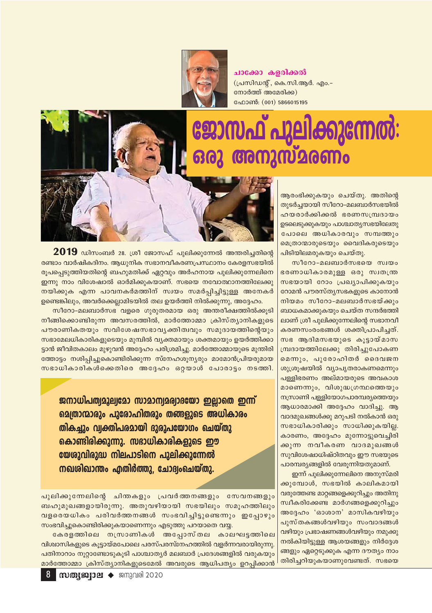

ചാക്കോ കളരിക്കൽ (പ്രസിഡന്റ്, കെ.സി.ആർ. എം.-നോർത്ത് അമേരിക്ക) ഫോൺ: (001) 5866015195

## ജോസഫ് പുലിക്കുന്നേൽ: **രനുസ്മരണം**



 $\bf 2019$  ഡിസംബർ 28. ശ്രീ ജോസഫ് പുലിക്കുന്നേൽ അന്തരിച്ചതിന്റെ രണ്ടാം വാർഷികദിനം. ആധുനിക സഭാനവീകരണപ്രസ്ഥാനം കേരളസഭയിൽ രുപപ്പെടുത്തിയതിന്റെ ബഹുമതിക്ക് ഏറ്റവും അർഹനായ പുലിക്കുന്നേലിനെ ഇന്നു നാം വിശേഷാൽ ഓർമിക്കുകയാണ്. സഭയെ നവോത്ഥാനത്തിലേക്കു നയിക്കുക എന്ന പാവനകർമത്തിന് സ്വയം സമർപ്പിച്ചിട്ടുള്ള അനേകർ ഉണ്ടെങ്കിലും, അവർക്കെല്ലാമിടയിൽ തല ഉയർത്തി നിൽക്കുന്നു, അദ്ദേഹം.

സീറോ-മലബാർസഭ വളരെ ഗുരുതരമായ ഒരു അന്തരീക്ഷത്തിൽക്കുടി നീങ്ങിക്കൊണ്ടിരുന്ന അവസരത്തിൽ, മാർത്തോമ്മാ ക്രിസ്ത്യാനികളുടെ പൗരാണികതയും സവിശേഷസഭാവൃക്തിത്വവും സമുദായത്തിന്റെയും സഭാമേലധികാരികളുടെയും മുമ്പിൽ വ്യക്തമായും ശക്തമായും ഉയർത്തിക്കാ ട്ടാൻ ജീവിതകാലം മുഴുവൻ അദ്ദേഹം പരിശ്രമിച്ചു. മാർത്തോമ്മായുടെ മുന്തിരി ത്തോട്ടം നശിപ്പിച്ചുകൊണ്ടിരിക്കുന്ന സ്നേഹശുന്യരും മാമോൻപ്രിയരുമായ സഭാധികാരികൾക്കെതിരെ അദ്ദേഹം ഒറ്റയാൾ പോരാട്ടം നടത്തി.

ജനാധിപത്വമൂല്വമോ സാമാന്വമര്വാഭയാ ഇല്ലാതെ ഇന്ന് മെത്രാന്മാരും പുരോഹിതരും തങ്ങളുടെ അധികാരം തികച്ചും വ്വക്തിപരമായി ദുരുപയോഗം ചെയ്തു കൊണ്ടിരിക്കുന്നു. സഭാധികാരികളുടെ ഈ യേശുവിരുദ്ധ നിലപാടിനെ പുലിക്കുന്നേൽ നഖശിഖാന്തം എതിർത്തു. ചോദ്വംചെയ്തു.

പുലിക്കുന്നേലിന്റെ ചിന്തകളും പ്രവർത്തനങ്ങളും സേവനങ്ങളും ബഹുമുഖങ്ങളായിരുന്നു. അതുവഴിയായി സഭയിലും സമൂഹത്തിലും വളരെയധികം പരിവർത്തനങ്ങൾ സംഭവിച്ചിട്ടുണ്ടെന്നും ഇപ്പോഴും സംഭവിച്ചുകൊണ്ടിരിക്കുകയാണെന്നും എടുത്തു പറയാതെ വയ്യ.

കേരളത്തിലെ നസ്രാണികൾ അപ്പോസ്തല കാലഘട്ടത്തിലെ വിശ്വാസികളുടെ കൂട്ടായ്മപോലെ പരസ്പരസ്നേഹത്തിൽ വളർന്നവരായിരുന്നു. പതിനാറാം നൂറ്റാണ്ടോടുകൂടി പാശ്ചാതൃർ മലബാർ പ്രദേശങ്ങളിൽ വരുകയും മാർത്തോമ്മാ ക്രിസ്ത്യാനികളുടെമേൽ അവരുടെ ആധിപത്യം ഉറപ്പിക്കാൻ

<mark>ആരംഭിക്കുകയും ചെയ്തു. അതിന്റെ</mark> തുടർച്ചയായി സീറോ-മലബാർസഭയിൽ ഹയരാർക്കിക്കൽ ഭരണസമ്പ്രദായം ഉടലെടുക്കുകയും പാശ്ചാതൃസഭയിലേതു പോലെ അധികാരവും സമ്പത്തും മെത്രാന്മാരുടെയും വൈദികരുടെയും പിടിയിലമരുകയും ചെയ്തു.

സീറോ-മലബാർസഭയെ സ്വയം ഭരണാധികാരമുള്ള ഒരു സ്വതന്ത്ര സഭയായി റോം പ്രഖ്യാപിക്കുകയും റോമൻ പൗരസ്ത്യസഭകളുടെ കാനോൻ നിയമം സീറോ-മലബാർസഭയ്ക്കും ബാധകമാക്കുകയും ചെയ്ത സന്ദർഭത്തി ലാണ് ശ്രീ പുലിക്കുന്നേലിന്റെ സഭാനവീ കരണസംരംഭങ്ങൾ ശക്തിപ്രാപിച്ചത്. സഭ ആദിമസഭയുടെ കൂട്ടായ്മാസ മ്പ്രദായത്തിലേക്കു തിരിച്ചുപോകണ മെന്നും, പുരോഹിതർ ദൈവജന ശുശ്രൂഷയിൽ വ്യാപൃതരാകണമെന്നും പള്ളിഭരണം അല്മായരുടെ അവകാശ മാണെന്നും, വിശുദ്ധഗ്രന്ഥത്തെയും നസ്രാണി പള്ളിയോഗപാരമ്പര്യത്തെയും ആധാരമാക്കി അദ്ദേഹം വാദിച്ചു. ആ വാദമുഖങ്ങൾക്കു മറുപടി നൽകാൻ ഒരു സഭാധികാരിക്കും സാധിക്കുകയില്ല. കാരണം, അദ്ദേഹം മുന്നോട്ടുവെച്ചിരി ക്കുന്ന നവീകരണ വാദമുഖങ്ങൾ സുവിശേഷാധിഷ്ഠിതവും ഈ സഭയുടെ പാരമ്പര്യങ്ങളിൽ വേരുന്നിയതുമാണ്.

ഇന്ന് പൂലിക്കുന്നേലിനെ അനുസ്മരി ക്കുമ്പോൾ, സഭയിൽ കാലികമായി വരുത്തേണ്ട മാറ്റങ്ങളെക്കുറിച്ചും അതിനു സ്വീകരിക്കേണ്ട മാർഗങ്ങളെക്കുറിച്ചും അദ്ദേഹം 'ഓശാന' മാസികവഴിയും പുസ്തകങ്ങൾവഴിയും സംവാദങ്ങൾ വഴിയും പ്രഭാഷണങ്ങൾവഴിയും നമുക്കു നൽകിയിട്ടുള്ള ആശയങ്ങളും നിർദ്ദേശ ങ്ങളും ഏറ്റെടുക്കുക എന്ന ദൗത്യം നാം തിരിച്ചറിയുകയാണുവേണ്ടത്. സഭയെ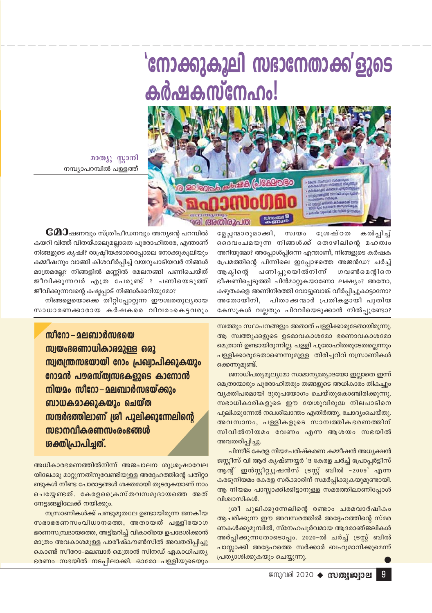

മാത്യൂ സാനി നമ്പ്യാപറമ്പിൽ പള്ളത്ത്

> കൽപ്പിച്ച് മ്ലേച്ച ന്മാരുമാക്കി, സ്വയം ശേഷ്ഠത ദൈവംചമയുന്ന നിങ്ങൾക്ക് തൊഴിലിന്റെ മഹത്വം അറിയുമോ? അപ്പോൾപ്പിന്നെ എന്താണ്, നിങ്ങളുടെ കർഷക പ്രേമത്തിന്റെ പിന്നിലെ ഇപ്പോഴത്തെ അജൻഡ? ചർച്ച് അകിനെ പണിപ്പുരയിൽനിന് ഗവൺമെന്റിനെ ഭീഷണിപ്പെടുത്തി പിൻമാറ്റുകയാണോ ലക്ഷ്യം? അതോ, കഴുതകളെ അണിനിരത്തി വോട്ടുബാങ്ക് വീർപ്പിച്ചുകാട്ടാനോ? അതോയിനി, പിതാക്കന്മാർ പ്രതികളായി പുതിയ കേസുകൾ വല്ലതും പിറവിയെടുക്കാൻ നിൽപ്പുണ്ടോ?

 ${\mathbf {\mathfrak{C}D}}$ ഷണവും സ്ത്രീപീഡനവും അന്യന്റെ പറമ്പിൽ കയറി വിത്ത് വിതയ്ക്കലുമല്ലാതെ പുരോഹിതരേ, എന്താണ് നിങ്ങളുടെ കൃഷി? രാഷ്ട്രീയക്കാരെപ്പോലെ നോക്കുകൂലിയും കമ്മീഷനും വാങ്ങി കിശവീർപ്പിച്ച് വയറുചാടിയവർ നിങ്ങൾ മാത്രമല്ലേ? നിങ്ങളിൽ മണ്ണിൽ മേലനങ്ങി പണിചെയ്ത് ജീവിക്കുന്നവർ എത്ര പേരുണ്ട് ഃ പണിയെടുത്ത് ജീവിക്കുന്നവന്റെ കഷ്ടപ്പാട് നിങ്ങൾക്കറിയുമോ?

നിങ്ങളെയൊക്കെ തീറ്റിപ്പോറ്റുന്ന ഈശ്വരതുലൃരായ സാധാരണക്കാരായ കർഷകരെ വിവരംകെട്ടവരും

സീറോ – മലബാർസഭയെ സ്വയംഭരണാധികാരമുള്ള ഒരു സ്വതന്ത്രസഭയായി റോം പ്രഖ്വാപിക്കുകയും നോമൻ പൗരസ്ത്വസഭകളുടെ കാനോൻ നിയമം സീറോ–മലബാർസഭയ്ക്കും ബാധകമാക്കുകയും ചെയ്ത സന്ദർഭത്തിലാണ് ശ്രീ പുലിക്കുന്നേലിന്റെ ൜ദാനവീകരണസംരംഭങ്ങൾ ശക്തിപ്രാപിച്ചത്.

അധികാരഭരണത്തിൽനിന്ന് അജപാലന ശുശ്രുഷാവേല യിലേക്കു മാറ്റുന്നതിനുവേണ്ടിയുള്ള അദ്ദേഹത്തിന്റെ പതിറ്റാ ണ്ടുകൾ നീണ്ട പോരാട്ടങ്ങൾ ശക്തമായി തുടരുകയാണ് നാം ചെയ്യേണ്ടത്. കേരളപ്രൈസ്തവസമുദായത്തെ അത് നേട്ടങ്ങളിലേക്ക് നയിക്കും.

നസ്രാണികൾക്ക് പണ്ടുമുതലേ ഉണ്ടായിരുന്ന ജനകീയ സഭാഭരണസംവിധാനത്തെ, അതായത് പള്ളിയോഗ ഭരണസമ്പ്രദായത്തെ, അട്ടിമറിച്ച് വികാരിയെ ഉപദേശിക്കാൻ മാത്രം അവകാശമുള്ള പാരീഷ്കൗൺസിൽ അവതരിപ്പിച്ചു കൊണ്ട് സീറോ-മലബാർ മെത്രാൻ സിനഡ് ഏകാധിപത്യ ഭരണം സഭയിൽ നടപ്പിലാക്കി. ഓരോ പള്ളിയുടെയും സ്ഥത്തും സ്ഥാപനങ്ങളും അതാത് പള്ളിക്കാരുടേതായിരുന്നു. ആ സ്വത്തുക്കളുടെ ഉടമാവകാശമോ ഭരണാവകാശമോ മെത്രാന് ഉണ്ടായിരുന്നില്ല. പള്ളി പുരോഹിതരുടേതല്ലെന്നും പള്ളിക്കാരുടേതാണെന്നുമുള്ള തിരിച്ചറിവ് നസ്രാണികൾ ക്കെന്നുമുണ്ട്.

ജനാധിപത്യമൂല്യമോ സാമാന്യമര്യാദയോ ഇല്ലാതെ ഇന്ന് മെത്രാന്മാരും പുരോഹിതരും തങ്ങളുടെ അധികാരം തികച്ചും വ്യക്തിപരമായി ദുരുപയോഗം ചെയ്തുകൊണ്ടിരിക്കുന്നു. സഭാധികാരികളുടെ ഈ യേശുവിരുദ്ധ നിലപാടിനെ പുലിക്കുന്നേൽ നഖശിഖാന്തം എതിർത്തു, ചോദ്യംചെയ്തു. അവസാനം, പള്ളികളുടെ സാമ്പത്തികഭരണത്തിന് സിവിൽനിയമം വേണം എന്ന ആശയം സഭയിൽ അവതരിപ്പിച്ചു.

പിന്നീട് കേരള നിയമപരിഷ്കരണ കമ്മീഷൻ അധ്യക്ഷൻ ജസ്റ്റീസ് വി ആർ കൃഷ്ണയ്യർ 'ദ കേരള ചർച്ച് പ്രോപ്പർട്ടീസ് ആന്റ് ഇൻസ്റ്റിറ്റ്യൂഷൻസ് ട്രസ്റ്റ് ബിൽ -2009' എന്ന കരടുനിയമം കേരള സർക്കാരിന് സമർപ്പിക്കുകയുമുണ്ടായി. ആ നിയമം പാസ്സാക്കിക്കിട്ടാനുള്ള സമരത്തിലാണിപ്പോൾ വിശ്വാസികൾ.

ശ്രീ പുലിക്കുന്നേലിന്റെ രണ്ടാം ചരമവാർഷികം ആചരിക്കുന്ന ഈ അവസരത്തിൽ അദ്ദേഹത്തിന്റെ സ്മര ണകൾക്കുമുമ്പിൽ, സ്നേഹപൂർവമായ ആദരാഞ്ജലികൾ അർപ്പിക്കുന്നതോടൊപ്പം. 2020-ൽ ചർച്ച് ട്രസ്റ്റ് ബിൽ പാസ്സാക്കി അദ്ദേഹത്തെ സർക്കാർ ബഹുമാനിക്കുമെന്ന് പ്രത്യാശിക്കുകയും ചെയ്യുന്നു.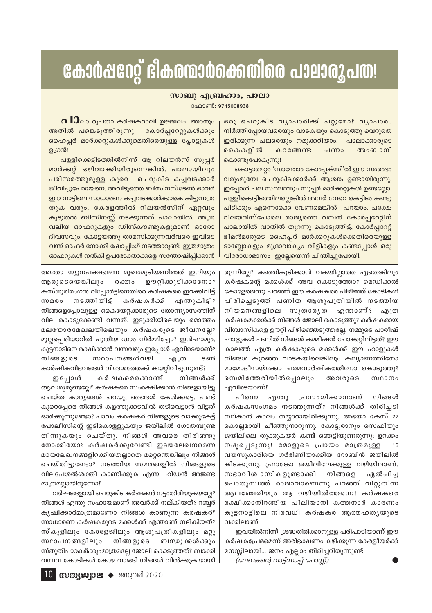### കോർഷറേറ്റ് ഭീകരന്മാർക്കെതിരെ പാലാരൂപത!

#### സാബു എബ്രഹാം, പാലാ

ഫോൺ: 9745008938

 $\Omega$ ാലാ രൂപതാ കർഷകറാലി ഉജ്ജലം! ഞാനും അതിൽ പങ്കെടുത്തിരുന്നു. കോർപ്പറേറ്റുകൾക്കും ഹൈപ്പർ മാർക്കറ്റുകൾക്കുമെതിരെയുള്ള പ്ലോട്ടുകൾ ഉഗ്രൻ!

പള്ളിക്കെട്ടിടത്തിൽനിന്ന് ആ റിലയൻസ് സൂപ്പർ മാർക്കറ്റ് ഒഴിവാക്കിയിരുന്നെങ്കിൽ, പാലായിലും പരിസരത്തുമുള്ള കുറെ ചെറുകിട കച്ചവടക്കാർ ജീവിച്ചുപോയേനെ. അവിടുത്തെ ബിസിനസ്ടേൺ ഓവർ ഈ നാട്ടിലെ സാധാരണ കച്ചവടക്കാർക്കാകെ കിട്ടുന്നത്ര തുക വരും. കേരളത്തിൽ റിലയൻസിന് ഏറ്റവും കൂടുതൽ ബിസിനസ്സ് നടക്കുന്നത് പാലായിൽ. അത്ര വലിയ ഓഫറുകളും ഡിസ്കൗണ്ടുകളുമാണ് ഓരോ ദിവസവും. കോട്ടയത്തു താമസിക്കുന്നവർവരെ ഇവിടെ വന്ന് ഓഫർ നോക്കി ഷോപ്പിംഗ് നടത്താറുണ്ട്. ഇത്രമാത്രം ഓഫറുകൾ നൽകി ഉപഭോക്താക്കളെ സന്തോഷിപ്പിക്കാൻ

അതോ ന്യൂനപക്ഷമെന്ന മുഖംമൂടിയണിഞ്ഞ് ഇനിയും ആരുടെയെങ്കിലും രക്തം ഊറ്റിക്കുടിക്കാനോ? കസ്തൂരിരംഗൻ റിപ്പോർട്ടിനെതിരെ കർഷകരെ ഇറക്കിവിട്ട് സമരം നടത്തിയിട്ട് കർഷകർക്ക് എന്തുകിട്ടി? നിങ്ങളെപ്പോലുള്ള കൈയേറ്റക്കാരുടെ തോന്ന്യാസത്തിന് വില കൊടുക്കേണ്ടി വന്നത്, ഇടുക്കിയിലെയും മൊത്തം മലയോരമേഖലയിലെയും കർഷകരുടെ ജീവനല്ലേ? മുല്ലപ്പെരിയാറിൽ പുതിയ ഡാം നിർമ്മിച്ചോ? ഇൻഫാമും, കുട്ടനാടിനെ രക്ഷിക്കാൻ വന്നവരും ഇപ്പോൾ എവിടെയാണ്? സ്ഥാപനങ്ങൾവഴി നിങ്ങളുടെ എത്ര ടൺ കാർഷികവിഭവങ്ങൾ വിദേശത്തേക്ക് കയറ്റിവിടുന്നുണ്ട്?

കർഷകരെക്കൊണ്ട് നിങ്ങൾക്ക് ഇപ്പോൾ ആവശ്യമുണ്ടല്ലേ? കർഷകരെ സംരക്ഷിക്കാൻ നിങ്ങളായിട്ടു ചെയ്ത കാര്യങ്ങൾ പറയൂ, ഞങ്ങൾ കേൾക്കട്ടെ. പണ്ട് കുറെപ്പേരെ നിങ്ങൾ കളത്തൂക്കടവിൽ തടിവെട്ടാൻ വിട്ടത് ഓർക്കുന്നുണ്ടോ? പാവം കർഷകർ നിങ്ങളുടെ വാക്കുകേട്ട് പോലീസിന്റെ ഇടികൊള്ളുകയും ജയിലിൽ ഗോതമ്പുണ്ട തിന്നുകയും ചെയ്തു. നിങ്ങൾ അവരെ തിരിഞ്ഞു നോക്കിയോ? കർഷകർക്കുവേണ്ടി ഇടയലേഖനമെന്ന മഠയലേഖനങ്ങളിറക്കിയതല്ലാതെ മറ്റെന്തെങ്കിലും നിങ്ങൾ ചെയ്തിട്ടുണ്ടോ? നടത്തിയ സമരങ്ങളിൽ നിങ്ങളുടെ വിലപേശൽശക്തി കാണിക്കുക എന്ന ഹിഡൻ അജണ്ട മാത്രമല്ലായിരുന്നോ?

വർഷങ്ങളായി ചെറുകിട കർഷകൻ നട്ടംതിരിയുകയല്ലേ? നിങ്ങൾ എന്തു സഹായമാണ് അവർക്ക് നല്കിയത്? റബ്ബർ കൃഷിക്കാർമാത്രമാണോ നിങ്ങൾ കാണുന്ന കർഷകർ? സാധാരണ കർഷകരുടെ മക്കൾക്ക് എന്താണ് നല്കിയത്? സ്കൂളിലും കോളേജിലും ആശുപത്രികളിലും മറ്റു സ്ഥാപനങ്ങളിലും നിങ്ങളുടെ ബന്ധുക്കൾക്കും സ്തുതിപാഠകർക്കുംമാത്രമല്ലേ ജോലി കൊടുത്തത്? ബാക്കി വന്നവ കോടികൾ കോഴ വാങ്ങി നിങ്ങൾ വിൽക്കുകയായി ഒരു ചെറുകിട വൃാപാരിക്ക് പറ്റുമോ? വൃാപാരം നിർത്തിപ്പോയവരെയും വാടകയും കൊടുത്തു വെറുതെ ഇരിക്കുന്ന പലരെയും നമുക്കറിയാം. പാലാക്കാരുടെ കൈകളിൽ കറങ്ങേണ്ട അംബാനി പണം കൊണ്ടുപോകുന്നു!

കൊട്ടാരമറ്റം 'സാന്തോം കോംപ്ലക്സി'ൽ ഈ സംരംഭം വരുംമുമ്പേ ചെറുകിടക്കാർക്ക് ആശങ്ക ഉണ്ടായിരുന്നു. ഇപ്പോൾ പല സ്ഥലത്തും സൂപ്പർ മാർക്കറ്റുകൾ ഉണ്ടല്ലോ. പള്ളിക്കെട്ടിടത്തിലല്ലെങ്കിൽ അവർ വേറെ കെട്ടിടം കണ്ടു പിടിക്കും എന്നൊക്കെ വേണമെങ്കിൽ പറയാം. പക്ഷേ റിലയൻസ്പോലെ രാജ്യത്തെ വമ്പൻ കോർപ്പറേറ്റിന് പാലായിൽ വാതിൽ തുറന്നു കൊടുത്തിട്ട്, കോർപ്പറേറ്റ് ഭീമൻമാരുടെ ഹൈപ്പർ മാർക്കറ്റുകൾക്കെതിരെയുള്ള ടാബ്ലോകളും മുദ്രാവാക്യം വിളികളും കണ്ടപ്പോൾ ഒരു വിരോധാഭാസം ഇല്ലേയെന്ന് ചിന്തിച്ചുപോയി.

രുന്നില്ലേ? കഞ്ഞികുടിക്കാൻ വകയില്ലാത്ത ഏതെങ്കിലും കർഷകന്റെ മക്കൾക്ക് അവ കൊടുത്തോ? മെഡിക്കൽ കോളേജെന്നു പറഞ്ഞ് ഈ കർഷകരെ പിഴിഞ്ഞ് കോടികൾ പിരിച്ചെടുത്ത് പണിത ആശുപത്രിയിൽ നടത്തിയ നിയമനങ്ങളിലെ സുതാരൃത എന്താണ്? എത്ര കർഷകമക്കൾക്ക് നിങ്ങൾ ജോലി കൊടുത്തു? കർഷകരായ വിശ്വാസികളെ ഊറ്റി പിഴിഞ്ഞെടുത്തല്ലേ, നമ്മുടെ പാരീഷ് ഹാളുകൾ പണിത് നിങ്ങൾ കമ്മീഷൻ പോക്കറ്റിലിട്ടത്? ഈ കാലത്ത് എത്ര കർഷകരുടെ മക്കൾക്ക് ഈ ഹാളുകൾ നിങ്ങൾ കുറഞ്ഞ വാടകയിലെങ്കിലും കല്യാണത്തിനോ മാമോദീസയ്ക്കോ ചരമവാർഷികത്തിനോ കൊടുത്തു? സെമിത്തേരിയിൽപ്പോലും അവരുടെ സ്ഥാനം എവിടെയാണ്?

പ്രസംഗിക്കാനാണ് പിനെ നിങ്ങൾ എന്തു കർഷകസംഗമം നടത്തുന്നത്? നിങ്ങൾക്ക് തിരിച്ചടി നല്കാൻ കാലം തയ്യാറായിരിക്കുന്നു. അഭയാ കേസ് 27 കൊല്ലമായി ചീഞ്ഞുനാറുന്നു. കോട്ടുരാനും സെഫിയും ജയിലിലെ തൂക്കുകയർ കണ്ട് ഞെട്ടിയുണരുന്നു; ഉറക്കം നഷ്ടപ്പെടുന്നു! മോളുടെ പ്രായം മാത്രമുള്ള 16 വയസുകാരിയെ ഗർഭിണിയാക്കിയ റോബിൻ ജയിലിൽ കിടക്കുന്നു. ഫ്രാങ്കോ ജയിലിലേക്കുള്ള വഴിയിലാണ്. സഭാവിശ്വാസികളുണ്ടാക്കി നിങ്ങളെ ഏൽപിച്ച പൊതുസ്വത്ത് രാജാവാണെന്നു പറഞ്ഞ് വിറ്റുതിന്ന ആലഞ്ചേരിയും ആ വഴിയിൽത്തന്നെ! കർഷകരെ രക്ഷിക്കാനിറങ്ങിയ പീലിയാനി കത്തനാർ കാരണം കുട്ടനാട്ടിലെ നിരവധി കർഷകർ ആത്മഹതൃയുടെ വക്കിലാണ്.

ഇവയിൽനിന്ന് ശ്രദ്ധതിരിക്കാനുള്ള പരിപാടിയാണ് ഈ കർഷകപ്രേമമെന്ന് അരിഭക്ഷണം കഴിക്കുന്ന കേരളീയർക്ക് മനസ്സിലായി... ജനം എല്ലാം തിരിച്ചറിയുന്നുണ്ട്.

(ലേഖകന്റെ വാട്ട്സാപ്പ് പോസ്റ്റ്)

 $10$  morgaper  $\blacklozenge$  smand 2020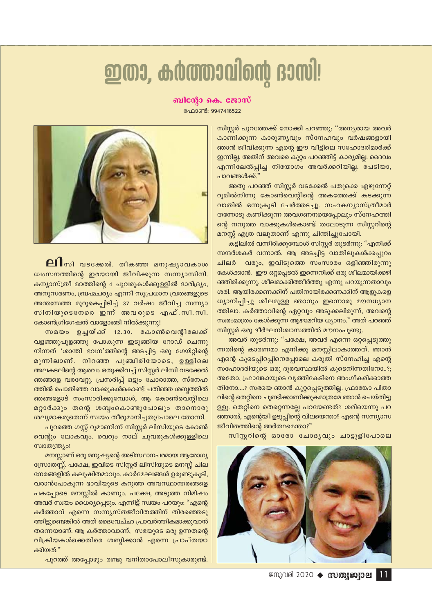## ഇതാ, കർത്താവിന്റെ ദാസി!

#### ബിന്റോ കെ. ജോസ്

ഫോൺ: 9947416522



ലി സി വടക്കേൽ. തികഞ്ഞ മനുഷൃാവകാശ ധ്വംസനത്തിന്റെ ഇരയായി ജീവിക്കുന്ന സന്ന്യാസിനി. കന്യാസ്ത്രീ മഠത്തിന്റെ 4 ചുവരുകൾക്കുള്ളിൽ ദാരിദ്ര്യം, അനുസരണം, ബ്രഹ്മചര്യം എന്നീ സുപ്രധാന വ്രതങ്ങളുടെ അന്തഃസത്ത മുറുകെപ്പിടിച്ച് 37 വർഷം ജീവിച്ച സന്ന്യാ സിനിയുടെനേരെ ഇന്ന് അവരുടെ എഫ്.സി.സി. കോൺഗ്രിഗേഷൻ വാളോങ്ങി നിൽക്കുന്നു!

സമയം ഉച്ചയ്ക്ക് 12.30. കോൺവെന്റിലേക്ക് വളഞ്ഞുപുളഞ്ഞു പോകുന്ന ഇടുങ്ങിയ റോഡ് ചെന്നു നിന്നത് 'ശാന്തി ഭവന'ത്തിന്റെ അടച്ചിട്ട ഒരു ഗേയ്റ്റിന്റെ മുന്നിലാണ്. നിറഞ്ഞ പുഞ്ചിരിയോടെ, ഉള്ളിലെ അലകടലിന്റെ ആരവം ഒതുക്കിവച്ച് സിസ്റ്റർ ലിസി വടക്കേൽ ഞങ്ങളെ വരവേറ്റു. പ്രസരിപ്പ് ഒട്ടും ചോരാത്ത, സ്നേഹ ത്തിൽ പൊതിഞ്ഞ വാക്കുകൾകൊണ്ട് പതിഞ്ഞ ശബ്ദത്തിൽ ഞങ്ങളോട് സംസാരിക്കുമ്പോൾ, ആ കോൺവെന്റിലെ മറ്റാർക്കും തന്റെ ശബ്ബംകൊണ്ടുപോലും താനൊരു ശല്യമാകരുതെന്ന് സ്വയം തീരുമാനിച്ചതുപോലെ തോന്നി. പുറത്തെ ഗസ്റ്റ് റൂമാണിന്ന് സിസ്റ്റർ ലിസിയുടെ കോൺ വെന്റും ലോകവും. വെറും നാല് ചുവരുകൾക്കുള്ളിലെ

സ്ഥാതന്ത്ര പ്രാ മനസ്സാണ് ഒരു മനുഷ്യന്റെ അടിസ്ഥാനപരമായ ആരോഗ്യ സ്രോതസ്സ്. പക്ഷേ, ഇവിടെ സിസ്റ്റർ ലിസിയുടെ മനസ്സ് ചില നേരങ്ങളിൽ കലുഷിതമാവും. കാർമേഘങ്ങൾ ഉരുണ്ടുകൂടി, വരാൻപോകുന്ന ഭാവിയുടെ കറുത്ത അവസ്ഥാന്തരങ്ങളെ പകപ്പോടെ മനസ്സിൽ കാണും. പക്ഷേ, അടുത്ത നിമിഷം അവർ സ്വയം ധൈര്യപ്പെടും. എന്നിട്ട് സ്വയം പറയും: "എന്റെ കർത്താവ് എന്നെ സന്ന്യസ്തജീവിതത്തിന് തിരഞ്ഞെടു ത്തിട്ടുണ്ടെങ്കിൽ അത് ദൈവേച്ഛ പ്രാവർത്തികമാക്കുവാൻ തന്നെയാണ്. ആ കർത്താവാണ്, സഭയുടെ ഒരു ഉന്നതന്റെ വിക്രിയകൾക്കെതിരെ ശബ്ദിക്കാൻ എന്നെ പ്രാപ്തയാ ക്കിയത്."

പുറത്ത് അപ്പോഴും രണ്ടു വനിതാപോലീസുകാരുണ്ട്.

സിസ്റ്റർ പുറത്തേക്ക് നോക്കി പറഞ്ഞു: "അന്യരായ അവർ കാണിക്കുന്ന കാരുണ്യവും സ്നേഹവും വർഷങ്ങളായി ഞാൻ ജീവിക്കുന്ന എന്റെ ഈ വീട്ടിലെ സഹോദരിമാർക്ക് ഇന്നില്ല. അതിന് അവരെ കുറ്റം പറഞ്ഞിട്ട് കാര്യമില്ല. ദൈവം .<br>എന്നിലേൽപ്പിച്ച നിയോഗം അവർക്കറിയില്ല. പേടിയാ, പാവങ്ങൾക്ക്.'

അതു പറഞ്ഞ് സിസ്റ്റർ വടക്കേൽ പതുക്കെ എഴുന്നേറ്റ് റുമിൽനിന്നു കോൺവെന്റിന്റെ അകത്തേക്ക് കടക്കുന്ന വാതിൽ ഒന്നുകൂടി ചേർത്തടച്ചു. സഹകന്യാസ്ത്രീമാർ തന്നോടു കണിക്കുന്ന അവഗണനയെപ്പോലും സ്നേഹത്തി ന്റെ നനുത്ത വാക്കുകൾകൊണ്ട് തലോടുന്ന സിസ്റ്ററിന്റെ മനസ്സ് എത്ര വലുതാണ് എന്നു ചിന്തിച്ചുപോയി.

കട്ടിലിൽ വന്നിരിക്കുമ്പോൾ സിസ്റ്റർ തുടർന്നു: "എനിക്ക് സന്ദർശകർ വന്നാൽ, ആ അടച്ചിട്ട വാതിലുകൾക്കപ്പുറം വരും, ഇവിടുത്തെ സംസാരം ഒളിഞ്ഞിരുന്നു ചിലർ കേൾക്കാൻ. ഈ ഒറ്റപ്പെടൽ ഇന്നെനിക്ക് ഒരു ശീലമായിക്കഴി ഞ്ഞിരിക്കുന്നു. ശീലമാക്കിത്തീർത്തു എന്നു പറയുന്നതാവും ശരി, ആയിരക്കണക്കിന് പതിനായിരക്കണക്കിന് ആളുകളെ ധ്യാനിപ്പിച്ചു ശീലമുള്ള ഞാനും ഇന്നൊരു മൗനധ്യാന ത്തിലാ. കർത്താവിന്റെ ഏറ്റവും അടുക്കലിരുന്ന്, അവന്റെ സ്വരംമാത്രം കേൾക്കുന്ന ആഴമേറിയ ധ്യാനം." അത് പറഞ്ഞ് സിസ്റ്റർ ഒരു ദീർഘനിശ്വാസത്തിൽ മൗനംപുണ്ടു.

അവർ തുടർന്നു: "പക്ഷേ, അവർ എന്നെ ഒറ്റപ്പെടുത്തു ന്നതിന്റെ കാരണമാ എനിക്കു മനസ്സിലാകാത്തത്. ഞാൻ എന്റെ കൂടെപ്പിറപ്പിനെപ്പോലെ കരുതി സ്നേഹിച്ച എന്റെ സഹോദരിയുടെ ഒരു ദുരവസ്ഥയിൽ കൂടെനിന്നതിനോ..?; അതോ, ഫ്രാങ്കോയുടെ വൃത്തികേടിനെ അംഗീകരിക്കാത്ത തിനോ....? സഭയെ ഞാൻ കുറ്റപ്പെടുത്തില്ല. ഫ്രാങ്കോ പിതാ വിന്റെ തെറ്റിനെ ചൂണ്ടിക്കാണിക്കുകമാത്രമേ ഞാൻ ചെയ്തിട്ടു ള്ളൂ. തെറ്റിനെ തെറ്റെന്നല്ലേ പറയേണ്ടത്? ശരിയെന്നു പറ ഞ്ഞാൽ, എന്റെയീ ഉടുപ്പിന്റെ വിലയെന്താ? എന്റെ സന്ന്യാസ ജീവിതത്തിന്റെ അർത്ഥമെന്താ?"

സിസ്റ്ററിന്റെ ഓരോ ചോദ്യവും ചാട്ടുളിപോലെ



ജനുവരി 2020 → സത്യജ**്വാല** 11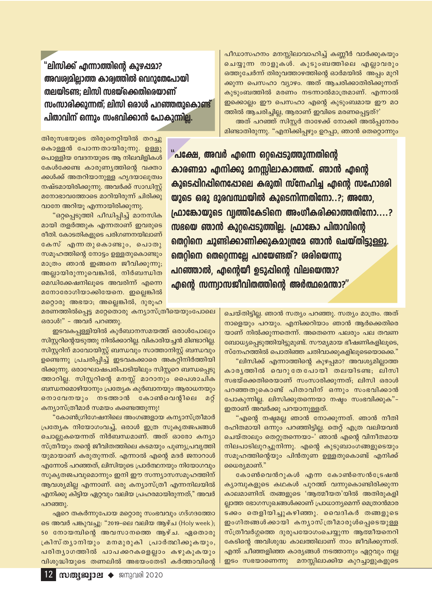പീഡാസഹനം മനസ്സിലാവാഹിച്ച് കണ്ണീർ വാർക്കുകയും ചെയ്യുന്ന നാളുകൾ. കുടുംബത്തിലെ എല്ലാവരും ഒത്തുചേർന്ന് തിരുവത്താഴത്തിന്റെ ഓർമയിൽ അപ്പം മുറി ക്കുന്ന പെസഹാ വ്യാഴം. അത് ആചരിക്കാതിരിക്കുന്നത് കുടുംബത്തിൽ മരണം നടന്നാൽമാത്രമാണ്. എന്നാൽ ഇക്കൊല്ലം ഈ പെസഹാ എന്റെ കുടുംബമായ ഈ മഠ ത്തിൽ ആചരിച്ചില്ല, ആരാണ് ഇവിടെ മരണപ്പെട്ടത്?'

അത് പറഞ്ഞ് സിസ്റ്റർ താഴേക്ക് നോക്കി അൽപ്പനേരം മിണ്ടാതിരുന്നു. "എനിക്കിപ്പഴും ഉറപ്പാ, ഞാൻ തെറ്റൊന്നും

"പക്ഷേ, അവർ എന്നെ ഒറ്റപ്പെടുത്തുന്നതിന്റെ കാരണമാ എനിക്കു മനസ്സിലാകാത്തത്. ഞാൻ എന്റെ കൂടെപ്പിറപ്പിനെപോലെ കരുതി സ്നേഹിച്ച എന്റെ സഹോദരി യുടെ ഒരു ദുരവസ്ഥയിൽ കൂടെനിന്നതിനോ..?; അതോ, (ഫാങ്കോയുടെ വ്വത്തികേടിനെ അംഗീകരിക്കാത്തതിനോ....? സഭയെ ഞാൻ കുറ്റപ്പെടുത്തില്ല. ഫ്രാങ്കോ പിതാവിന്റെ തെറ്റിനെ ചൂണ്ടിക്കാണിക്കുകമാത്രമേ ഞാൻ ചെയ്തിട്ടുള്ളൂ. തെറ്റിനെ തെറ്റെന്നല്ലേ പറയേണ്ടത്? ശരിയെന്നു പറഞ്ഞാൽ, എന്റെയി ഉടുപ്പിന്റെ വിലയെന്താ? <u>എന്റെ സന്ന്വാസജീവിതത്തിന്റെ അർത്ഥമെന്താ?"</u>

"ലിസിക്ക് എന്നാത്തിന്റെ കുഴപ്പമാ? അവശ്വമില്ലാത്ത കാര്വത്തിൽ വെറുതേപോയി തലയിടണ്ട; ലിസി സഭയ്ക്കെതിരെയാണ് സംസാരിക്കുന്നത്: ലിസി ഒരാൾ പറഞ്ഞതുകൊണ്ട് പിതാവിന് ഒന്നും സംഭവിക്കാൻ പോകുന്നില്ല.

തിരുസഭയുടെ തിരുനെറ്റിയിൽ തറച്ചു കൊള്ളൻ പോന്നതായിരുന്നു. ഉള്ളു പൊള്ളിയ വേദനയുടെ ആ നിലവിളികൾ കേൾക്കേണ്ട കാരുണ്യത്തിന്റെ വക്താ ക്കൾക്ക് അതറിയാനുള്ള ഹൃദയാലുത്വം നഷ്ടമായിരിക്കുന്നു. അവർക്ക് സാഡിസ്റ്റ് മനോഭാവത്തോടെ മാറിയിരുന്ന് ചിരിക്കു വാനേ അറിയു എന്നായിരിക്കുന്നു.

"ഒറ്റപ്പെടുത്തി പീഡിപ്പിച്ച് മാനസിക മായി തളർത്തുക എന്നതാണ് ഇവരുടെ രീതി. കോടതികളുടെ പരിഗണനയിലാണ് കേസ് എന്നതുകൊണ്ടും, പൊതു സമൂഹത്തിന്റെ നോട്ടം ഉള്ളതുകൊണ്ടും മാത്രം ഞാൻ ഇങ്ങനെ ജീവിക്കുന്നു; അല്ലായിരുന്നുവെങ്കിൽ, നിർബന്ധിത മെഡിക്കേഷനിലൂടെ അവരിന്ന് എന്നെ മനോരോഗിയാക്കിയേനെ. ഇല്ലെങ്കിൽ മറ്റൊരു അഭയാ; അല്ലെങ്കിൽ, ദുരൂഹ

മരണത്തിൽപ്പെട്ട മറ്റേതൊരു കന്യാസ്ത്രീയെയുംപോലെ ഒരാൾ!" - അവർ പറഞ്ഞു.

ഇടവകപ്പള്ളിയിൽ കുർബാനസമയത്ത് ഒരാൾപോലും സിസ്റ്ററിന്റെയടുത്തു നിൽക്കാറില്ല. വികാരിയച്ചൻ മിണ്ടാറില്ല. സിസ്റ്ററിന് മാവോയിസ്റ്റ് ബന്ധവും സാത്താനിസ്റ്റ് ബന്ധവും ഉണ്ടെന്നു പ്രചരിപ്പിച്ച് ഇടവകക്കാരെ അകറ്റിനിർത്തിയി രിക്കുന്നു. ഒരാഘോഷപരിപാടിയിലും സിസ്റ്ററെ ബന്ധപ്പെടു ത്താറില്ല. സിസ്റ്ററിന്റെ മനസ്സ് മാറാനും പൈശാചിക ബന്ധനമൊഴിയാനും പ്രത്യേക കുർബാനയും ആരാധനയും നൊവേനയും നടത്താൻ കോൺവെന്റിലെ മറ്റ് കന്യാസ്ത്രീമാർ സമയം കണ്ടെത്തുന്നു!

"കോൺഗ്രിഗേഷനിലെ അംഗങ്ങളായ കന്യാസ്ത്രീമാർ പ്രത്യേക നിയോഗംവച്ച്, ഒരാൾ ഇത്ര സുകൃതജപങ്ങൾ ചൊല്ലുകയെന്നത് നിർബന്ധമാണ്. അത് ഓരോ കന്യാ സ്ത്രീയും തന്റെ ജീവിതത്തിലെ കടമയും പുണ്യപ്രവൃത്തി യുമായാണ് കരുതുന്നത്. എന്നാൽ എന്റെ മദർ ജനാറാൾ എന്നോട് പറഞ്ഞത്, ലിസിയുടെ പ്രാർത്ഥനയും നിയോഗവും സുകൃതജപവുമൊന്നും ഇനി ഈ സന്ന്യാസസമൂഹത്തിന് ആവശ്യമില്ല എന്നാണ്. ഒരു കന്യാസ്ത്രീ എന്നനിലയിൽ എനിക്കു കിട്ടിയ ഏറ്റവും വലിയ പ്രഹരമായിരുന്നത്," അവർ പറഞ്ഞു.

ഏറെ തകർന്നുപോയ മറ്റൊരു സംഭവവും ഗദ്ഗദത്തോ ടെ അവർ പങ്കുവച്ചു: "2019-ലെ വലിയ ആഴ്ച (Holy week); 50 നോയമ്പിന്റെ അവസാനത്തെ ആഴ്ച. ഏതൊരു ക്രിസ്തൃാനിയും മനമുരുകി പ്രാർത്ഥിക്കുകയും, പരിത്യാഗത്തിൽ പാപക്കറകളെല്ലാം കഴുകുകയും വിശുദ്ധിയുടെ തണലിൽ അഭയംതേടി കർത്താവിന്റെ ചെയ്തിട്ടില്ല. ഞാൻ സത്യം പറഞ്ഞു. സത്യം മാത്രം. അത് നാളെയും പറയും. എനിക്കറിയാം ഞാൻ ആർക്കെതിരെ യാണ് നിൽക്കുന്നതെന്ന്. അതെന്നെ പലരും പല തവണ ബോധ്യപ്പെടുത്തിയിട്ടുമുണ്ട്. സൗമ്യമായ ഭീഷണികളിലൂടെ, സ്നേഹത്തിൽ പൊതിഞ്ഞ ചതിവാക്കുകളിലൂടെയൊക്കെ."

"ലിസിക്ക് എന്നാത്തിന്റെ കുഴപ്പമാ? അവശ്യമില്ലാത്ത കാരൃത്തിൽ വെറുതേപോയി തലയിടണ്ട; ലിസി സഭയ്ക്കെതിരെയാണ് സംസാരിക്കുന്നത്; ലിസി ഒരാൾ പറഞ്ഞതുകൊണ്ട് പിതാവിന് ഒന്നും സംഭവിക്കാൻ പോകുന്നില്ല. ലിസിക്കുതന്നെയാ നഷ്ടം സംഭവിക്കുക"-ഇതാണ് അവർക്കു പറയാനുള്ളത്.

"എന്റെ നഷ്ടമല്ല ഞാൻ നോക്കുന്നത്. ഞാൻ നീതി രഹിതമായി ഒന്നും പറഞ്ഞിട്ടില്ല. തെറ്റ് എത്ര വലിയവൻ ചെയ്താലും തെറ്റുതന്നെയാ–' ഞാൻ എന്റെ വിനീതമായ നിലപാടിലുറച്ചുനിന്നു. എന്റെ കുടുബാംഗങ്ങളുടെയും സമൂഹത്തിന്റെയും പിൻതുണ ഉള്ളതുകൊണ്ട് എനിക്ക് ധൈര്യമാണ്."

കോൺവെൻറുകൾ എന്ന കോൺസെൻട്രേഷൻ ക്യാമ്പുകളുടെ കഥകൾ പുറത്ത് വന്നുകൊണ്ടിരിക്കുന്ന കാലമാണിത്. തങ്ങളുടെ 'ആത്മീയത'യിൽ അതിരുകളി ല്ലാത്ത ഭോഗസുഖങ്ങൾക്കാണ് പ്രാധാന്യമെന്ന് മെത്രാൻമാര ടക്കം തെളിയിച്ചുകഴിഞ്ഞു. വൈദികർ തങ്ങളുടെ ഇംഗിതങ്ങൾക്കായി കന്യാസ്ത്രീമാരുൾപ്പെടെയുള്ള സ്ത്രീവർഗ്ഗത്തെ ദുരുപയോഗംചെയ്യുന്ന ആത്മീയനെറി കേടിന്റെ അവിശുദ്ധ കാലത്തിലാണ് നാം ജീവിക്കുന്നത്. എന്ത് ചീഞ്ഞളിഞ്ഞ കാര്യങ്ങൾ നടത്താനും ഏറ്റവും നല്ല ഇടം സഭയാണെന്നു മനസ്സിലാക്കിയ കുറച്ചാളുകളുടെ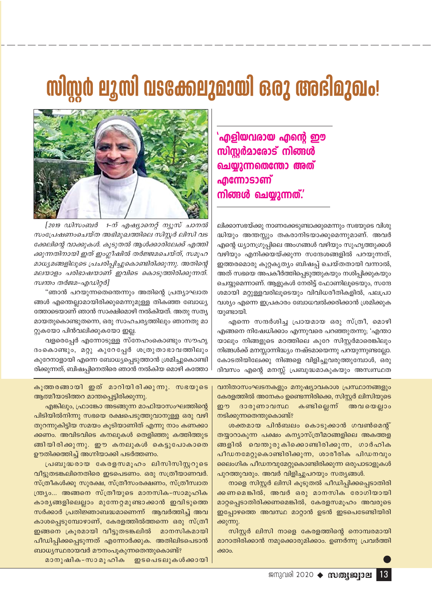## mlmd ermi ascaeeraan oo aa maslazolo!



[2019 ഡിസംബർ 1-ന് എഷ്യാനെറ്റ് ന്യൂസ് ചാനൽ സംപ്രേഷണംചെയ്ത അഭിമുഖത്തിലെ സിസ്റ്റർ ലിസി വട ക്കേലിന്റെ വാക്കുകൾ. കൂടുതൽ ആൾക്കാരിലേക്ക് എത്തി ക്കുന്നതിനായി ഇത് ഇംഗ്ലീഷിൽ തർജ്ജമചെയ്ത്, സമൂഹ മാധ്യമങ്ങളിലൂടെ പ്രചരിപ്പിച്ചുകൊണ്ടിരിക്കുന്നു. അതിന്റെ മലയാളം പരിഭാഷയാണ് ഇവിടെ കൊടുത്തിരിക്കുന്നത്. സ്വന്തം തർജമ-എഡിറ്റർ]

"ഞാൻ പറയുന്നതെന്തെന്നും അതിന്റെ പ്രത്യാഘാത ങ്ങൾ എന്തെല്ലാമായിരിക്കുമെന്നുമുള്ള തികഞ്ഞ ബോധ്യ ത്തോടെയാണ് ഞാൻ സാക്ഷിമൊഴി നൽകിയത്. അതു സത്യ മായതുകൊണ്ടുതന്നെ, ഒരു സാഹചര്യത്തിലും ഞാനതു മാ റ്റുകയോ പിൻവലിക്കുകയോ ഇല്ല.

വളരെപ്പേർ എന്നോടുള്ള സ്നേഹംകൊണ്ടും സൗഹൃ ദംകൊണ്ടും, മറ്റു കുറേപ്പേർ ശത്രുതാഭാവത്തിലും കുറേനാളായി എന്നെ ബോധ്യപ്പെടുത്താൻ ശ്രമിച്ചുകൊണ്ടി രിക്കുന്നത്, ബിഷപ്പിനെതിരെ ഞാൻ നൽകിയ മൊഴി കത്തോ

കുത്തരങ്ങായി ഇത് മാറിയിരിക്കുന്നു. സഭയുടെ ആത്മീയാടിത്തറ മാന്തപ്പെട്ടിരിക്കുന്നു.

എങ്കിലും, ഫ്രാങ്കോ അടങ്ങുന്ന മാഫിയാസംഘത്തിന്റെ പിടിയിൽനിന്നു സഭയെ രക്ഷപെടുത്തുവാനുള്ള ഒരു വഴി തുറന്നുകിട്ടിയ സമയം കൂടിയാണിത് എന്നു നാം കണക്കാ ക്കണം. അവിടവിടെ കനലുകൾ തെളിഞ്ഞു കത്തിത്തുട ങ്ങിയിരിക്കുന്നു. ഈ കനലുകൾ കെട്ടുപോകാതെ ഊതിക്കത്തിച്ച് അഗ്നിയാക്കി പടർത്തണം.

പ്രബുദ്ധരായ കേരളസമുഹം ലിസിസിസ്റ്ററുടെ വീട്ടുതടങ്കലിനെതിരെ ഇടപെടണം. ഒരു സത്രീയാണവർ. സ്ത്രീകൾക്കു സുരക്ഷ, സ്ത്രീസംരക്ഷണം, സ്ത്രീസ്വാത ന്ത്ര്യം... അങ്ങനെ സ്ത്രീയുടെ മാനസിക-സാമൂഹിക കാര്യങ്ങളിലെല്ലാം മുന്നേറ്റമുണ്ടാക്കാൻ ഇവിടുത്തെ സർക്കാർ പ്രതിജ്ഞാബദ്ധമാണെന്ന് ആവർത്തിച്ച് അവ കാശപ്പെടുമ്പോഴാണ്, കേരളത്തിൽത്തന്നെ ഒരു സ്ത്രീ ഇങ്ങനെ ക്രൂരമായി വീട്ടുതടങ്കലിൽ മാനസികമായി പീഡിപ്പിക്കപ്പെടുന്നത് എന്നോർക്കുക. അതിലിടപെടാൻ ബാധ്യസ്ഥരായവർ മൗനംപൂകുന്നതെന്തുകൊണ്ട്?

മാനുഷിക-സാമൂഹിക ഇടപെടലുകൾക്കായി 'എളിയവരായ എന്റെ ഈ സിസർമാരോട് നിങ്ങൾ ചെയ്യുന്നതെന്തോ അത് **എന്നോടാണ്** നിങ്ങൾ ചെയ്യുന്നത്.'

ലിക്കാസഭയ്ക്കു നാണക്കേടുണ്ടാക്കുമെന്നും സഭയുടെ വിശു ദ്ധിയും അന്തസ്സും തകരാനിടയാക്കുമെന്നുമാണ്. അ<mark>വ</mark>ർ എന്റെ ധ്യാനഗ്രൂപ്പിലെ അംഗങ്ങൾ വഴിയും സുഹൃത്തുക്കൾ വഴിയും എനിക്കയയ്ക്കുന്ന സന്ദേശങ്ങളിൽ പറയുന്നത്, ഇത്തരമൊരു കുറ്റകൃത്യം ബിഷപ്പ് ചെയ്തതായി വന്നാൽ, അത് സഭയെ അപകീർത്തിപ്പെടുത്തുകയും നശിപ്പിക്കുകയും ചെയ്യുമെന്നാണ്. ആളുകൾ നേരിട്ട് ഫോണിലൂടെയും, സന്ദേ ശമായി മറ്റുള്ളവരിലൂടെയും വിവിധരീതികളിൽ, പലപ്രാ വശ്യം എന്നെ ഇപ്രകാരം ബോധവൽക്കരിക്കാൻ ശ്രമിക്കുക യുണ്ടായി.

എന്നെ സന്ദർശിച്ച പ്രായമായ ഒരു സ്ത്രീ, മൊഴി എങ്ങനെ നിഷേധിക്കാം എന്നുവരെ പറഞ്ഞുതന്നു; 'എന്താ യാലും നിങ്ങളുടെ മഠത്തിലെ കുറേ സിസ്റ്റർമാരെങ്കിലും നിങ്ങൾക്ക് മനസ്സാന്നിദ്ധ്യം നഷ്ടമായെന്നു പറയുന്നുണ്ടല്ലോ. കോടതിയിലേക്കു നിങ്ങളെ വിളിച്ചുവരുത്തുമ്പോൾ, ഒരു ദിവസം എന്റെ മനസ്സ് പ്രബുദ്ധമാകുകയും അസ്വസ്ഥത

വനിതാസംഘടനകളും മനുഷ്യാവകാശ പ്രസ്ഥാനങ്ങളും കേരളത്തിൽ അനേകം ഉണ്ടെന്നിരിക്കെ, സിസ്റ്റർ ലിസിയുടെ ദാരുണാവസ്ഥ കണ്ടില്ലെന്ന് അവയെല്ലാം றை നടിക്കുന്നതെന്തുകൊണ്ട്?

ശക്തമായ പിൻബലം കൊടുക്കാൻ ഗവൺമെന്റ് തയ്യാറാകുന്ന പക്ഷം കന്യാസ്ത്രീമഠങ്ങളിലെ അകത്തള ങ്ങളിൽ വെന്തുരുകിക്കൊണ്ടിരിക്കുന്ന, ഗാർഹിക പീഡനമേറ്റുകൊണ്ടിരിക്കുന്ന, ശാരീരിക പിഡനവും ലൈംഗിക പീഡനവുമേറ്റുകൊണ്ടിരിക്കുന്ന ഒരുപാടാളുകൾ പുറത്തുവരും. അവർ വിളിച്ചുപറയും സത്യങ്ങൾ.

നാളെ സിസ്റ്റർ ലിസി കൂടുതൽ പീഡിപ്പിക്കപ്പെടാതിരി ക്കണമെങ്കിൽ, അവർ ഒരു മാനസിക രോഗിയായി മാറ്റപ്പെടാതിരിക്കണമെങ്കിൽ, കേരളസമൂഹം അവരുടെ ഇപ്പോഴത്തെ അവസ്ഥ മാറ്റാൻ ഉടൻ ഇടപെടേണ്ടിയിരി ക്കുന്നു.

സിസർ ലിസി നാളെ കേരളത്തിനെ നൊമ്പരമായി മാറാതിരിക്കാൻ നമുക്കൊരുമിക്കാം. ഉണർന്നു പ്രവർത്തി ക്കാപ

ജനുവരി 2020 → സ**ത്യജ്വാല** 13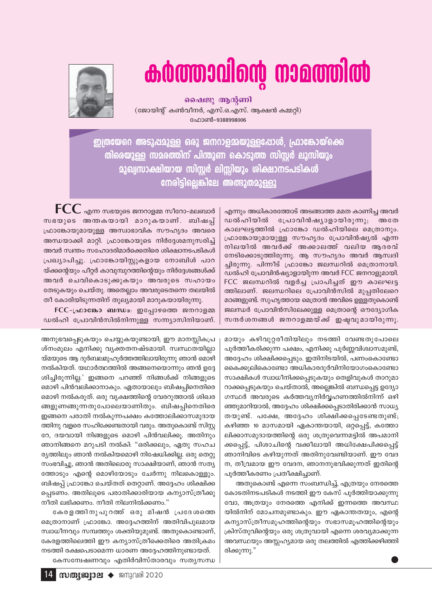# *Oblomacion manufolgo*



ഷൈജൂ ആൻണി (ജോയിൻ് കൺവീനർ, എസ്.ഒ.എസ്. അക്ഷൻ കമ്മറി) ഫോൺ-9388998006

ഇത്രയേറെ അടുപ്പമുള്ള ഒരു ജനറാളമ്മയുള്ളപ്പോൾ, ഫ്രാങ്കോയ്ക്കെ തിരെയുള്ള സമരത്തിന് പിന്തുണ കൊടുത്ത സിസ്റ്റർ ലൂസിയും മുഖ്വസാക്ഷിയായ സിസ്റ്റർ ലിസ്സിയും ശിക്ഷാനടപടികൾ നേരിട്ടില്ലെങ്കിലേ അത്ഭുതമുള്ളു

> എന്നും അധികാരത്തോട് അടങ്ങാത്ത മമത കാണിച്ച അവർ പ്രോവിൻഷ്യാളായിരുന്നു; ഡൽഹിയിൽ അതേ കാലഘട്ടത്തിൽ ഫ്രാങ്കോ ഡൽഹിയിലെ മെത്രാനും. ഫ്രാങ്കോയുമായുള്ള സൗഹൃദം പ്രോവിൻഷ്യൽ എന്ന നിലയിൽ അവർക്ക് അക്കാലത്ത് വലിയ ആദരവ് നേടിക്കൊടുത്തിരുന്നു. ആ സൗഹൃദം അവർ ആസ്വദി ച്ചിരുന്നു. പിന്നീട് ഫ്രാങ്കോ ജലന്ധറിൽ മെത്രാനായി. ഡൽഹി പ്രോവിൻഷ്യാളായിുന്ന അവർ FCC ജനറാളുമായി. FCC ജലന്ധറിൽ വളർച്ച പ്രാപിച്ചത് ഈ കാലഘട്ട ത്തിലാണ്. ജലന്ധറിലെ പ്രോവിൻസിൽ മുപ്പതിലേറെ മഠങ്ങളുണ്ട്. സുഹൃത്തായ മെത്രാൻ അവിടെ ഉള്ളതുകൊണ്ട് ജലന്ധർ പ്രോവിൻസിലേക്കുള്ള മെത്രാന്റെ ഔദ്യോഗിക സന്ദർശനങ്ങൾ ജനറാളമ്മയ്ക്ക് ഇഷ്ടവുമായിരുന്നു.

 $\mathop{\mathsf{FCC}}$  എന്ന സഭയുടെ ജനറാളമ്മ സീറോ–മലബാർ സഭയുടെ അന്തകയായി മാറുകയാണ്. ബിഷപ്പ് ഫ്രാങ്കോയുമായുള്ള അസ്വാഭാവിക സൗഹൃദം അവരെ അന്ധയാക്കി മാറ്റി. ഫ്രാങ്കോയുടെ നിർദ്ദേശമനുസരിച്ച് അവർ സ്വന്തം സഹോദരിമാർക്കെതിരെ ശിക്ഷാനടപടികൾ പ്രഖ്യാപിച്ചു. ഫ്രാങ്കോയിസ്റ്റുകളായ നോബിൾ പാറ യ്ക്കന്റെയും പീറ്റർ കാവുമ്പുറത്തിന്റെയും നിർദ്ദേശങ്ങൾക്ക് അവർ ചെവികൊടുക്കുകയും അവരുടെ സഹായം തേടുകയും ചെയ്തു. അതെല്ലാം അവരുടെതന്നെ തലയിൽ തീ കോരിയിടുന്നതിന് തുല്യമായി മാറുകയായിരുന്നു.

 $FCC$ -പ്രാങ്കോ ബന്ധം: ഇപ്പോഴത്തെ ജനറാളമ്മ ഡൽഹി പ്രോവിൻസിൽനിന്നുള്ള സന്ന്യാസിനിയാണ്.

അനുഭവപ്പെടുകയും ചെയ്യുകയുണ്ടായി; ഈ മാനസ്സികപ്ര ശ്നംമൂലം എനിക്കു വ്യക്തതനഷ്ടമായി. സ്വസ്ഥതയില്ലാ യ്മയുടെ ആ ദുർബലമുഹൂർത്തത്തിലായിരുന്നു ഞാൻ മൊഴി നൽകിയത്. യഥാർത്ഥത്തിൽ അങ്ങനെയൊന്നും ഞൻ ഉദ്ദേ ശിച്ചിരുന്നില്ല.' ഇങ്ങനെ പറഞ്ഞ് നിങ്ങൾക്ക് നിങ്ങളുടെ മൊഴി പിൻവലിക്കാനാകും. ഏതായാലും ബിഷപ്പിനെതിരെ മൊഴി നൽകരുത്. ഒരു വൃക്ഷത്തിന്റെ വേരറുത്താൽ ശിഖര ങ്ങളുണങ്ങുന്നതുപോലെയാണിതും. ബിഷപ്പിനെതിരെ ഇങ്ങനെ പരാതി നൽകുന്നപക്ഷം കത്തോലിക്കാസമുദായ ത്തിനു വളരെ സഹിക്കേണ്ടതായി വരും. അതുകൊണ്ട് സിസ്റ്റ റേ, ദയവായി നിങ്ങളുടെ മൊഴി പിൻവലിക്കൂ. അതിനും ഞാനിങ്ങനെ മറുപടി നൽകി: "ഒരിക്കലും, ഏതു സഹച ര്യത്തിലും ഞാൻ നൽകിയമൊഴി നിഷേധിക്കില്ല. ഒരു തെറ്റു സംഭവിച്ചു, ഞാൻ അതിലൊരു സാക്ഷിയാണ്, ഞാൻ സത്യ ത്തോടും എന്റെ മൊഴിയോടും ചേർന്നു നിലകൊള്ളും. ബിഷപ്പ് ഫ്രാങ്കോ ചെയ്തത് തെറ്റാണ്. അദ്ദേഹം ശിക്ഷിക്ക പ്പെടണം. അതിലൂടെ പരാതിക്കാരിയായ കന്യാസ്ത്രീക്കു നീതി ലഭിക്കണം. നീതി നിലനിൽക്കണം."

കേരളത്തിനുപുറത്ത് ഒരു മിഷൻ പ്രദേശത്തെ മെത്രാനാണ് ഫ്രാങ്കോ. അദ്ദേഹത്തിന് അതിവിപുലമായ സ്വാധീനവും സമ്പത്തും ശക്തിയുമുണ്ട്. അതുകൊണ്ടാണ്, കേരളത്തിലെത്തി ഈ കന്യാസ്ത്രീക്കെതിരെ അതിക്രമം നടത്തി രക്ഷപെടാമെന്ന ധാരണ അദ്ദേഹത്തിനുണ്ടായത്. കേസമ്പേഷണവും എതിർവിസ്താരവും സതൃസന്ധ

മായും കഴിവുറ്റരീതിയിലും നടത്തി വേണ്ടതുപോലെ പൂർത്തീകരിക്കുന്ന പക്ഷം, എനിക്കു പൂർണ്ണവിശ്വാസമുണ്ട്, അദ്ദേഹം ശിക്ഷിക്കപ്പെടും. ഇതിനിടയിൽ, പണംകൊണ്ടോ കൈക്കൂലികൊണ്ടോ അധികാരദുർവിനിയോഗംകൊണ്ടോ സാക്ഷികൾ സ്വാധീനിക്കപ്പെടുകയും തെളിവുകൾ താറുമാ റാക്കപ്പെടുകയും ചെയ്താൽ, അല്ലെങ്കിൽ ബന്ധപ്പെട്ട ഉദ്യോ ഗസ്ഥർ അവരുടെ കർത്തവ്യനിർവ്വഹണത്തിൽനിന്ന് ഒഴി ഞ്ഞുമാറിയാൽ, അദ്ദേഹം ശിക്ഷിക്കപ്പെടാതിരിക്കാൻ സാധ്യ തയുണ്ട്. പക്ഷേ, അദ്ദേഹം ശിക്ഷിക്കപ്പെടേണ്ടതുണ്ട്; കഴിഞ്ഞ 10 മാസമായി ഏകാന്തയായി, ഒറ്റപ്പെട്ട്, കത്തോ ലിക്കാസമുദായത്തിന്റെ ഒരു ശത്രുവെന്നമട്ടിൽ അപമാനി ക്കപ്പെട്ട്, പിശാചിന്റെ വക്കീലായി അധിക്ഷേപിക്കപ്പെട്ട് ഞാനിവിടെ കഴിയുന്നത് അതിനുവേണ്ടിയാണ്. ഈ വേദ ന, തീവ്രമായ ഈ വേദന, ഞാനനുഭവിക്കുന്നത് ഇതിന്റെ പൂർത്തീകരണം പ്രതീക്ഷിച്ചാണ്.

അതുകൊണ്ട് എന്നെ സംബന്ധിച്ച്, എത്രയും നേരത്തെ കോടതിനടപടികൾ നടത്തി ഈ കേസ് പൂർത്തിയാക്കുന്നു വോ, അത്രയും നേരത്തെ എനിക്ക് ഇന്നത്തെ അവസ്ഥ യിൽനിന് മോചനമുണ്ടാകും. ഈ ഏകാന്തതയും, എന്റെ കന്യാസ്ത്രീസമൂഹത്തിന്റെയും സഭാസമൂഹത്തിന്റെയും ക്രിസ്തുവിന്റെയും ഒരു ശത്രുവായി എന്നെ ശരവ്യമാക്കുന്ന അവസ്ഥയും അസ്സഹ്യമായ ഒരു തലത്തിൽ എത്തിക്കഴിഞ്ഞി രിക്കുന്നു."